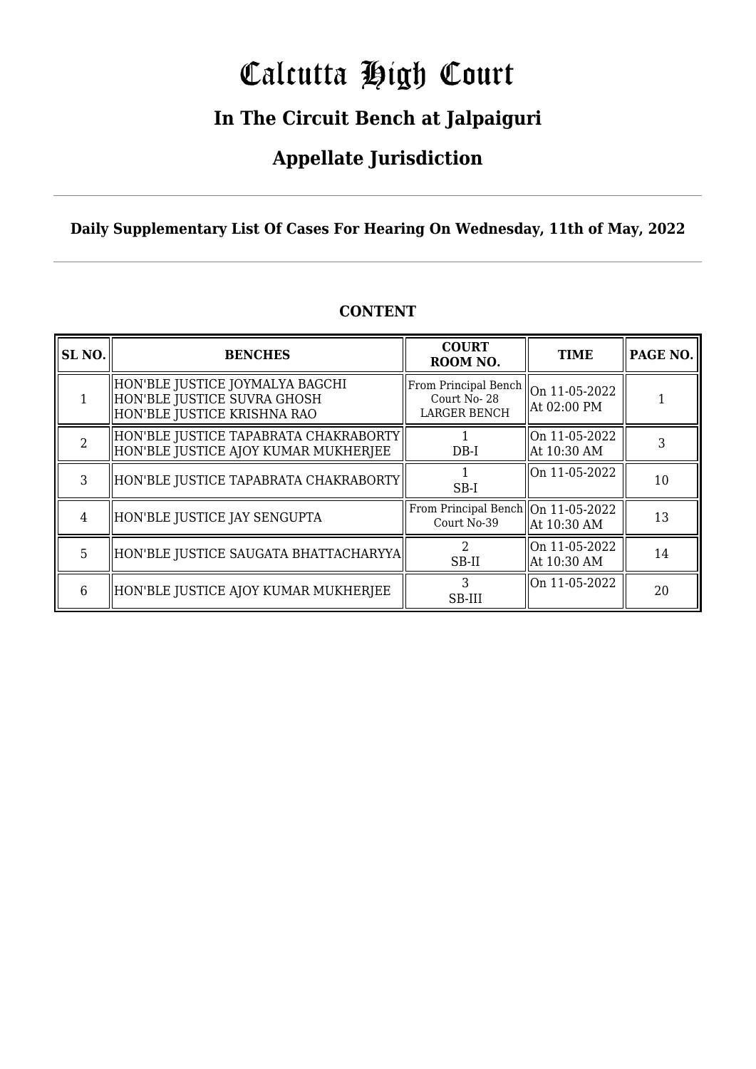# Calcutta High Court

## **In The Circuit Bench at Jalpaiguri**

## **Appellate Jurisdiction**

**Daily Supplementary List Of Cases For Hearing On Wednesday, 11th of May, 2022**

| SL <sub>NO.</sub> | <b>BENCHES</b>                                                                                | <b>COURT</b><br>ROOM NO.                                                             | <b>TIME</b>                  | PAGE NO. |
|-------------------|-----------------------------------------------------------------------------------------------|--------------------------------------------------------------------------------------|------------------------------|----------|
|                   | HON'BLE JUSTICE JOYMALYA BAGCHI<br>HON'BLE JUSTICE SUVRA GHOSH<br>HON'BLE JUSTICE KRISHNA RAO | From Principal Bench $\parallel$ On 11-05-2022<br>Court No-28<br><b>LARGER BENCH</b> | At 02:00 PM                  |          |
| $\mathcal{D}$     | HON'BLE JUSTICE TAPABRATA CHAKRABORTY <br>  HON'BLE JUSTICE AJOY KUMAR MUKHERJEE              | $DB-I$                                                                               | On 11-05-2022<br>At 10:30 AM |          |
| 3                 | HON'BLE JUSTICE TAPABRATA CHAKRABORTY                                                         | SB-I                                                                                 | On 11-05-2022                | 10       |
| 4                 | HON'BLE JUSTICE JAY SENGUPTA                                                                  | From Principal Bench   On 11-05-2022<br>Court No-39                                  | At 10:30 AM                  | 13       |
| 5                 | HON'BLE JUSTICE SAUGATA BHATTACHARYYA                                                         | $SB-II$                                                                              | On 11-05-2022<br>At 10:30 AM | 14       |
| 6                 | HON'BLE JUSTICE AJOY KUMAR MUKHERJEE                                                          | 3<br>SB-III                                                                          | $\mid$ On 11-05-2022         | 20       |

#### **CONTENT**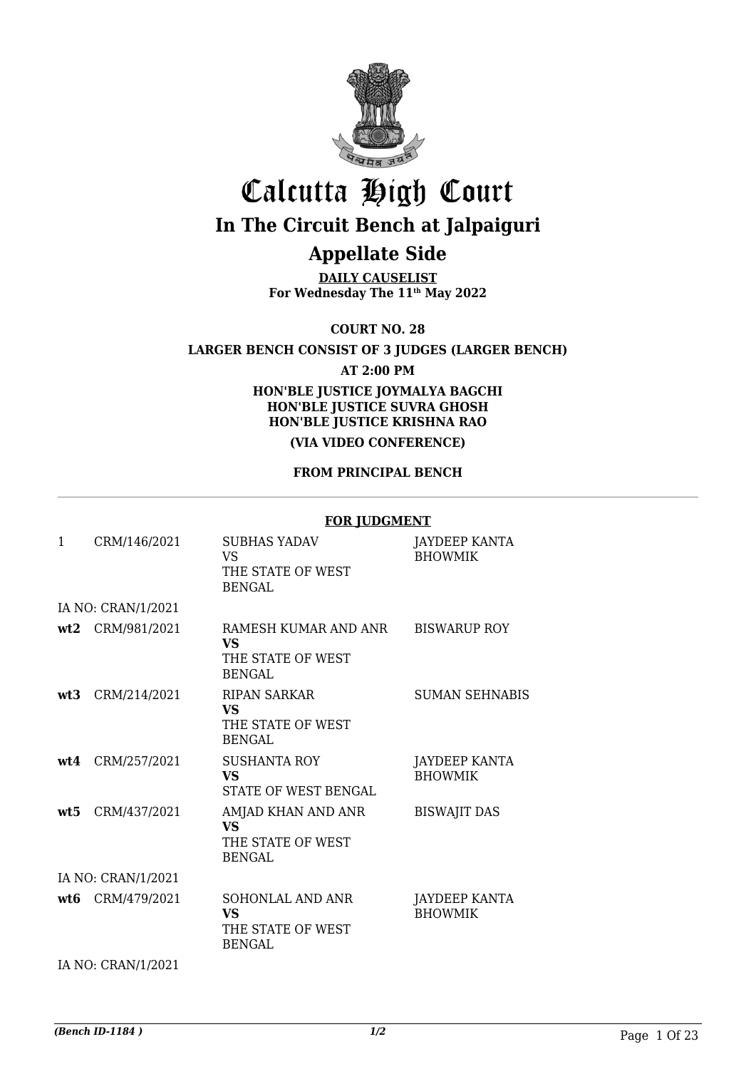

# Calcutta High Court

## **In The Circuit Bench at Jalpaiguri**

## **Appellate Side**

**DAILY CAUSELIST For Wednesday The 11th May 2022**

**COURT NO. 28**

**LARGER BENCH CONSIST OF 3 JUDGES (LARGER BENCH)**

**AT 2:00 PM**

**HON'BLE JUSTICE JOYMALYA BAGCHI HON'BLE JUSTICE SUVRA GHOSH HON'BLE JUSTICE KRISHNA RAO**

#### **(VIA VIDEO CONFERENCE)**

#### **FROM PRINCIPAL BENCH**

#### **FOR JUDGMENT**

| $\mathbf{1}$ | CRM/146/2021       | <b>SUBHAS YADAV</b><br>VS<br>THE STATE OF WEST<br><b>BENGAL</b>         | JAYDEEP KANTA<br><b>BHOWMIK</b> |
|--------------|--------------------|-------------------------------------------------------------------------|---------------------------------|
|              | IA NO: CRAN/1/2021 |                                                                         |                                 |
|              | wt2 CRM/981/2021   | RAMESH KUMAR AND ANR<br><b>VS</b><br>THE STATE OF WEST<br><b>BENGAL</b> | <b>BISWARUP ROY</b>             |
| wt3          | CRM/214/2021       | <b>RIPAN SARKAR</b><br>VS<br>THE STATE OF WEST<br><b>BENGAL</b>         | <b>SUMAN SEHNABIS</b>           |
|              | $wt4$ CRM/257/2021 | <b>SUSHANTA ROY</b><br><b>VS</b><br>STATE OF WEST BENGAL                | JAYDEEP KANTA<br><b>BHOWMIK</b> |
| wt5          | CRM/437/2021       | AMJAD KHAN AND ANR<br><b>VS</b><br>THE STATE OF WEST<br><b>BENGAL</b>   | <b>BISWAJIT DAS</b>             |
|              | IA NO: CRAN/1/2021 |                                                                         |                                 |
|              | wt6 CRM/479/2021   | SOHONLAL AND ANR<br><b>VS</b><br>THE STATE OF WEST<br><b>BENGAL</b>     | JAYDEEP KANTA<br><b>BHOWMIK</b> |
|              | IA NO: CRAN/1/2021 |                                                                         |                                 |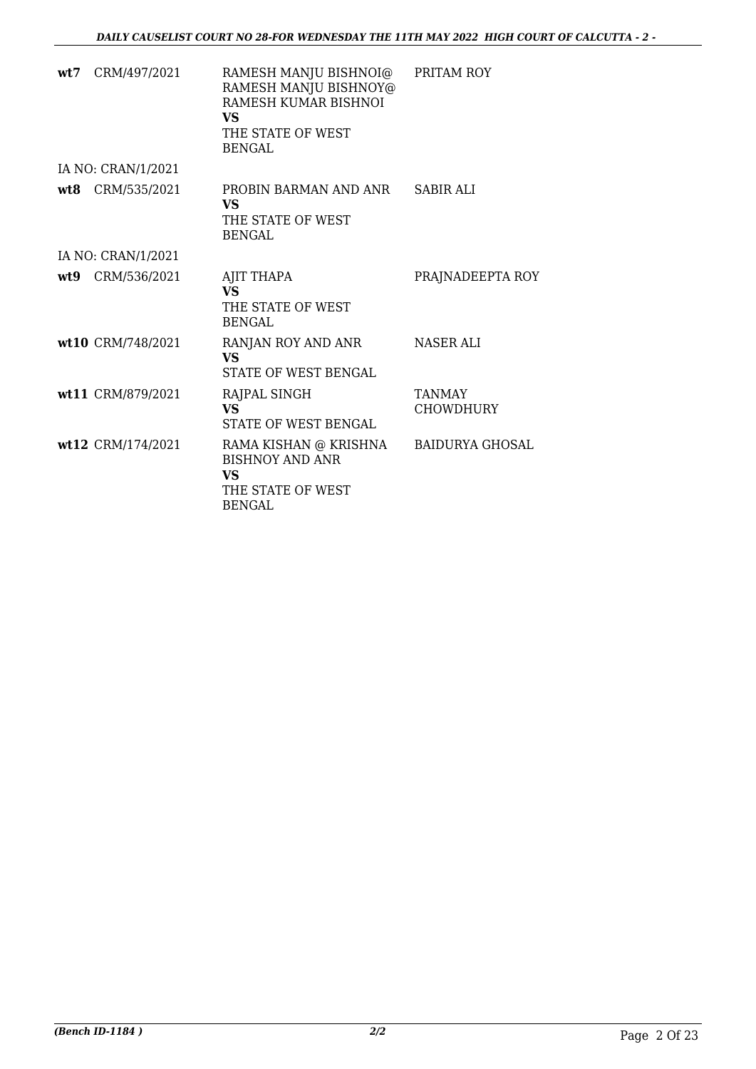| wt7 CRM/497/2021   | RAMESH MANJU BISHNOI@<br>RAMESH MANJU BISHNOY@<br>RAMESH KUMAR BISHNOI<br>VS.<br>THE STATE OF WEST<br><b>BENGAL</b> | PRITAM ROY                        |
|--------------------|---------------------------------------------------------------------------------------------------------------------|-----------------------------------|
| IA NO: CRAN/1/2021 |                                                                                                                     |                                   |
| wt8 CRM/535/2021   | PROBIN BARMAN AND ANR<br>VS.<br>THE STATE OF WEST<br><b>BENGAL</b>                                                  | <b>SABIR ALI</b>                  |
| IA NO: CRAN/1/2021 |                                                                                                                     |                                   |
| wt9 CRM/536/2021   | AJIT THAPA<br><b>VS</b><br>THE STATE OF WEST<br><b>BENGAL</b>                                                       | PRAJNADEEPTA ROY                  |
| wt10 CRM/748/2021  | RANJAN ROY AND ANR<br><b>VS</b><br>STATE OF WEST BENGAL                                                             | NASER ALI                         |
| wt11 CRM/879/2021  | RAJPAL SINGH<br><b>VS</b><br>STATE OF WEST BENGAL                                                                   | <b>TANMAY</b><br><b>CHOWDHURY</b> |
| wt12 CRM/174/2021  | RAMA KISHAN @ KRISHNA<br><b>BISHNOY AND ANR</b><br>VS.<br>THE STATE OF WEST<br><b>BENGAL</b>                        | <b>BAIDURYA GHOSAL</b>            |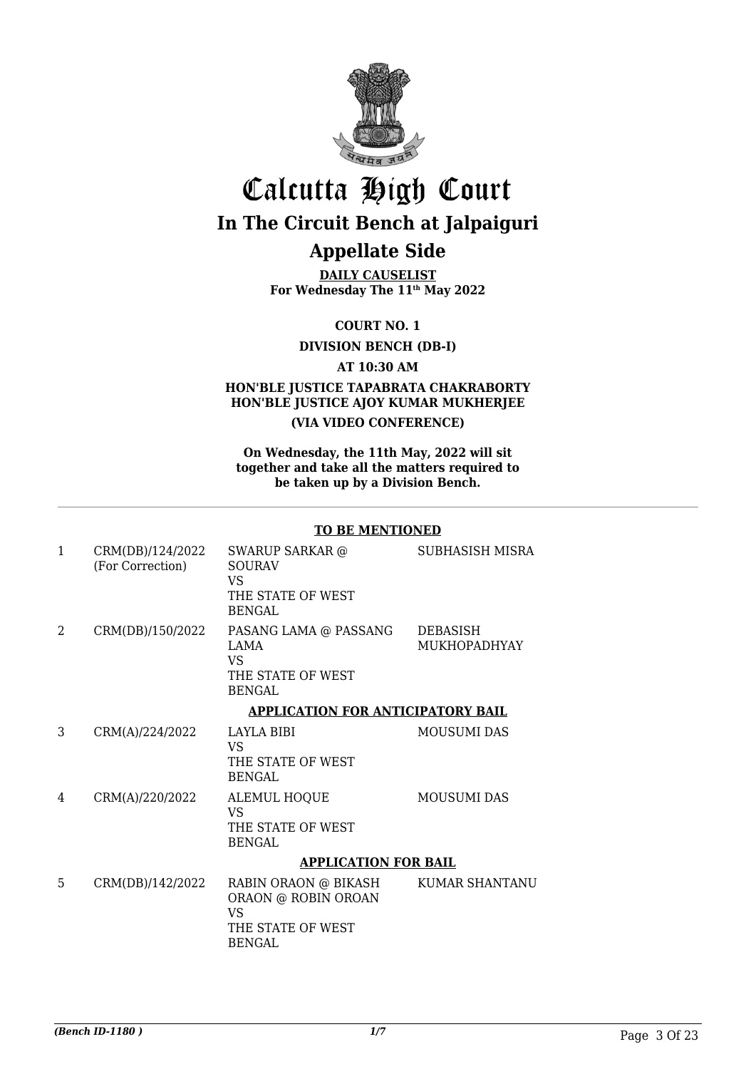

# Calcutta High Court **In The Circuit Bench at Jalpaiguri**

## **Appellate Side**

**DAILY CAUSELIST For Wednesday The 11th May 2022**

**COURT NO. 1**

**DIVISION BENCH (DB-I)**

**AT 10:30 AM**

#### **HON'BLE JUSTICE TAPABRATA CHAKRABORTY HON'BLE JUSTICE AJOY KUMAR MUKHERJEE (VIA VIDEO CONFERENCE)**

**On Wednesday, the 11th May, 2022 will sit together and take all the matters required to be taken up by a Division Bench.**

#### **TO BE MENTIONED**

| $\mathbf{1}$  | CRM(DB)/124/2022<br>(For Correction) | SWARUP SARKAR @<br><b>SOURAV</b><br><b>VS</b><br>THE STATE OF WEST<br>BENGAL.           | SUBHASISH MISRA                        |
|---------------|--------------------------------------|-----------------------------------------------------------------------------------------|----------------------------------------|
| $\mathcal{L}$ | CRM(DB)/150/2022                     | PASANG LAMA @ PASSANG<br><b>LAMA</b><br><b>VS</b><br>THE STATE OF WEST<br><b>BENGAL</b> | <b>DEBASISH</b><br><b>MUKHOPADHYAY</b> |
|               |                                      | <b>APPLICATION FOR ANTICIPATORY BAIL</b>                                                |                                        |
| 3             | CRM(A)/224/2022                      | LAYLA BIBI<br><b>VS</b><br>THE STATE OF WEST<br><b>BENGAL</b>                           | <b>MOUSUMI DAS</b>                     |
| 4             | CRM(A)/220/2022                      | <b>ALEMUL HOQUE</b><br><b>VS</b><br>THE STATE OF WEST<br><b>BENGAL</b>                  | <b>MOUSUMI DAS</b>                     |
|               |                                      | <b>APPLICATION FOR BAIL</b>                                                             |                                        |
| 5             | CRM(DB)/142/2022                     | RABIN ORAON @ BIKASH<br>ORAON @ ROBIN OROAN<br>VS<br>THE STATE OF WEST<br><b>BENGAL</b> | KUMAR SHANTANU                         |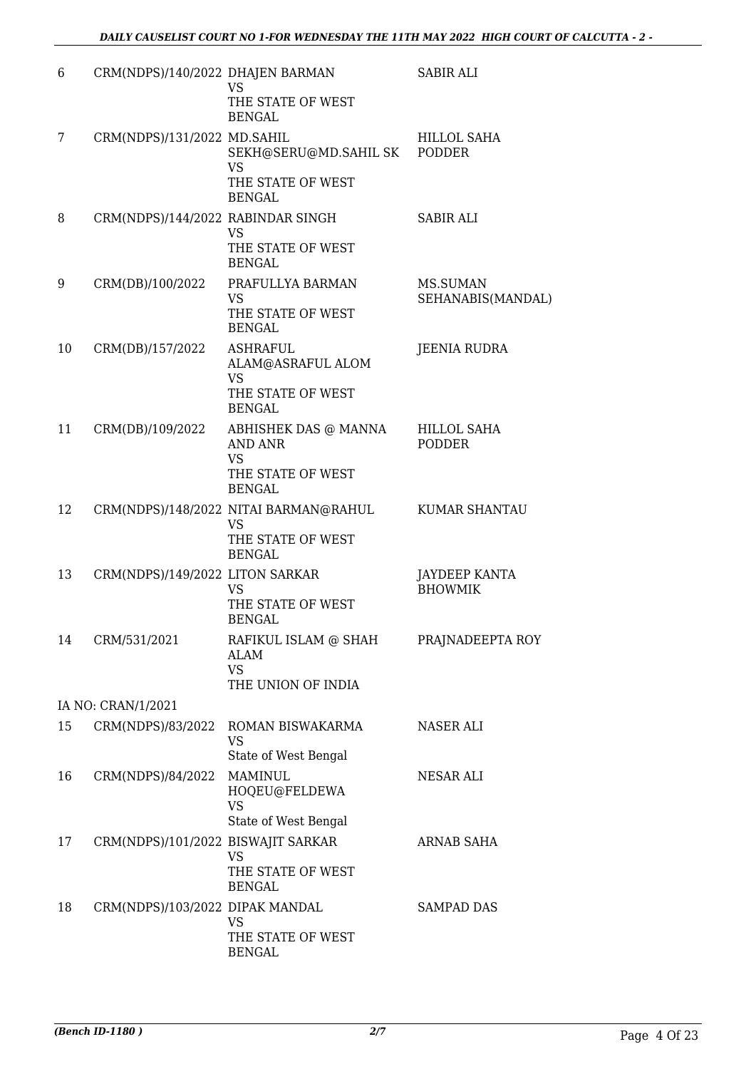| 6  | CRM(NDPS)/140/2022 DHAJEN BARMAN   | <b>VS</b><br>THE STATE OF WEST<br><b>BENGAL</b>                                           | <b>SABIR ALI</b>                       |
|----|------------------------------------|-------------------------------------------------------------------------------------------|----------------------------------------|
| 7  | CRM(NDPS)/131/2022 MD.SAHIL        | SEKH@SERU@MD.SAHIL SK PODDER<br><b>VS</b><br>THE STATE OF WEST<br><b>BENGAL</b>           | <b>HILLOL SAHA</b>                     |
| 8  | CRM(NDPS)/144/2022 RABINDAR SINGH  | VS<br>THE STATE OF WEST<br><b>BENGAL</b>                                                  | <b>SABIR ALI</b>                       |
| 9  | CRM(DB)/100/2022                   | PRAFULLYA BARMAN<br><b>VS</b><br>THE STATE OF WEST<br><b>BENGAL</b>                       | MS.SUMAN<br>SEHANABIS(MANDAL)          |
| 10 | CRM(DB)/157/2022                   | <b>ASHRAFUL</b><br>ALAM@ASRAFUL ALOM<br><b>VS</b><br>THE STATE OF WEST<br><b>BENGAL</b>   | <b>JEENIA RUDRA</b>                    |
| 11 | CRM(DB)/109/2022                   | ABHISHEK DAS @ MANNA<br><b>AND ANR</b><br><b>VS</b><br>THE STATE OF WEST<br><b>BENGAL</b> | <b>HILLOL SAHA</b><br><b>PODDER</b>    |
| 12 |                                    | CRM(NDPS)/148/2022 NITAI BARMAN@RAHUL<br>VS<br>THE STATE OF WEST<br><b>BENGAL</b>         | <b>KUMAR SHANTAU</b>                   |
| 13 | CRM(NDPS)/149/2022 LITON SARKAR    | <b>VS</b><br>THE STATE OF WEST<br><b>BENGAL</b>                                           | <b>JAYDEEP KANTA</b><br><b>BHOWMIK</b> |
| 14 | CRM/531/2021                       | RAFIKUL ISLAM @ SHAH<br><b>ALAM</b><br>VS.<br>THE UNION OF INDIA                          | PRAJNADEEPTA ROY                       |
|    | IA NO: CRAN/1/2021                 |                                                                                           |                                        |
| 15 | CRM(NDPS)/83/2022                  | ROMAN BISWAKARMA<br><b>VS</b><br>State of West Bengal                                     | NASER ALI                              |
| 16 | CRM(NDPS)/84/2022                  | <b>MAMINUL</b><br>HOQEU@FELDEWA<br><b>VS</b><br>State of West Bengal                      | NESAR ALI                              |
| 17 | CRM(NDPS)/101/2022 BISWAJIT SARKAR | <b>VS</b><br>THE STATE OF WEST<br><b>BENGAL</b>                                           | ARNAB SAHA                             |
| 18 | CRM(NDPS)/103/2022 DIPAK MANDAL    | VS<br>THE STATE OF WEST<br><b>BENGAL</b>                                                  | <b>SAMPAD DAS</b>                      |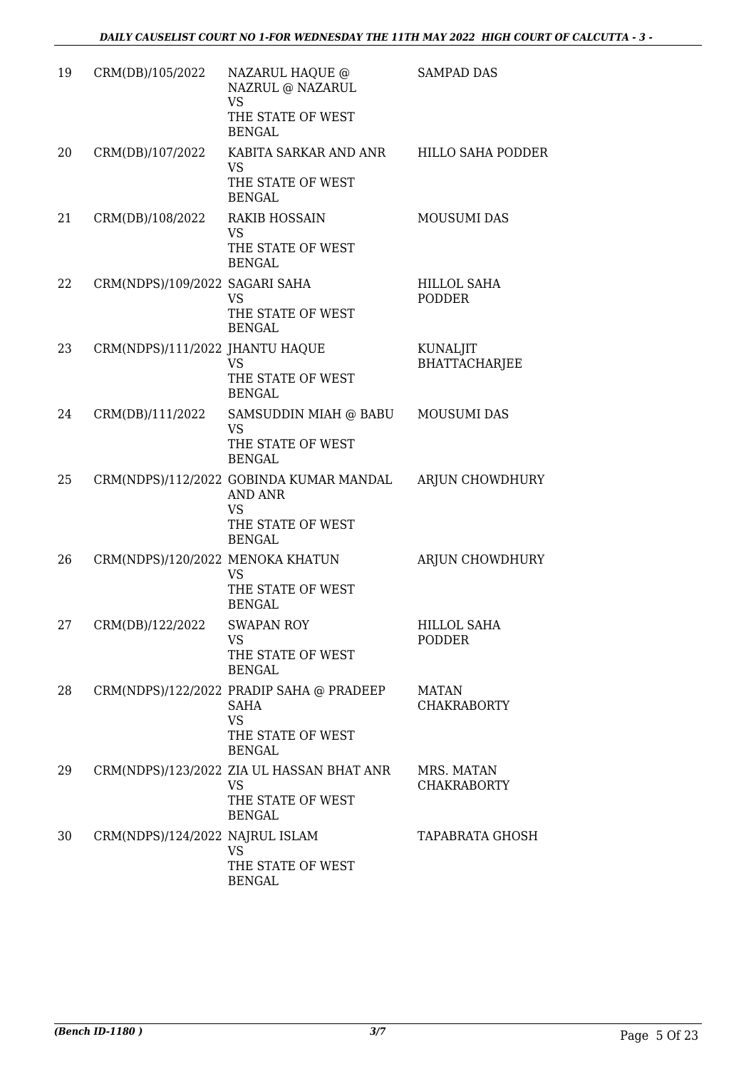| 19 | CRM(DB)/105/2022                 | NAZARUL HAQUE @<br>NAZRUL @ NAZARUL<br><b>VS</b><br>THE STATE OF WEST<br><b>BENGAL</b>                     | <b>SAMPAD DAS</b>                   |
|----|----------------------------------|------------------------------------------------------------------------------------------------------------|-------------------------------------|
| 20 | CRM(DB)/107/2022                 | KABITA SARKAR AND ANR HILLO SAHA PODDER<br><b>VS</b><br>THE STATE OF WEST<br><b>BENGAL</b>                 |                                     |
| 21 | CRM(DB)/108/2022                 | <b>RAKIB HOSSAIN</b><br><b>VS</b><br>THE STATE OF WEST<br><b>BENGAL</b>                                    | <b>MOUSUMI DAS</b>                  |
| 22 | CRM(NDPS)/109/2022 SAGARI SAHA   | <b>VS</b><br>THE STATE OF WEST<br><b>BENGAL</b>                                                            | HILLOL SAHA<br>PODDER               |
| 23 | CRM(NDPS)/111/2022 JHANTU HAQUE  | <b>VS</b><br>THE STATE OF WEST<br><b>BENGAL</b>                                                            | KUNALJIT<br><b>BHATTACHARJEE</b>    |
| 24 | CRM(DB)/111/2022                 | SAMSUDDIN MIAH @ BABU MOUSUMI DAS<br><b>VS</b><br>THE STATE OF WEST<br><b>BENGAL</b>                       |                                     |
| 25 |                                  | CRM(NDPS)/112/2022 GOBINDA KUMAR MANDAL<br>AND ANR<br><b>VS</b><br>THE STATE OF WEST<br><b>BENGAL</b>      | ARJUN CHOWDHURY                     |
| 26 | CRM(NDPS)/120/2022 MENOKA KHATUN | <b>VS</b><br>THE STATE OF WEST<br><b>BENGAL</b>                                                            | ARJUN CHOWDHURY                     |
| 27 | CRM(DB)/122/2022                 | SWAPAN ROY<br>VS<br>THE STATE OF WEST<br><b>BENGAL</b>                                                     | <b>HILLOL SAHA</b><br><b>PODDER</b> |
| 28 |                                  | CRM(NDPS)/122/2022 PRADIP SAHA @ PRADEEP<br><b>SAHA</b><br><b>VS</b><br>THE STATE OF WEST<br><b>BENGAL</b> | <b>MATAN</b><br><b>CHAKRABORTY</b>  |
| 29 |                                  | CRM(NDPS)/123/2022 ZIA UL HASSAN BHAT ANR<br><b>VS</b><br>THE STATE OF WEST<br><b>BENGAL</b>               | MRS. MATAN<br><b>CHAKRABORTY</b>    |
| 30 | CRM(NDPS)/124/2022 NAJRUL ISLAM  | <b>VS</b><br>THE STATE OF WEST<br><b>BENGAL</b>                                                            | <b>TAPABRATA GHOSH</b>              |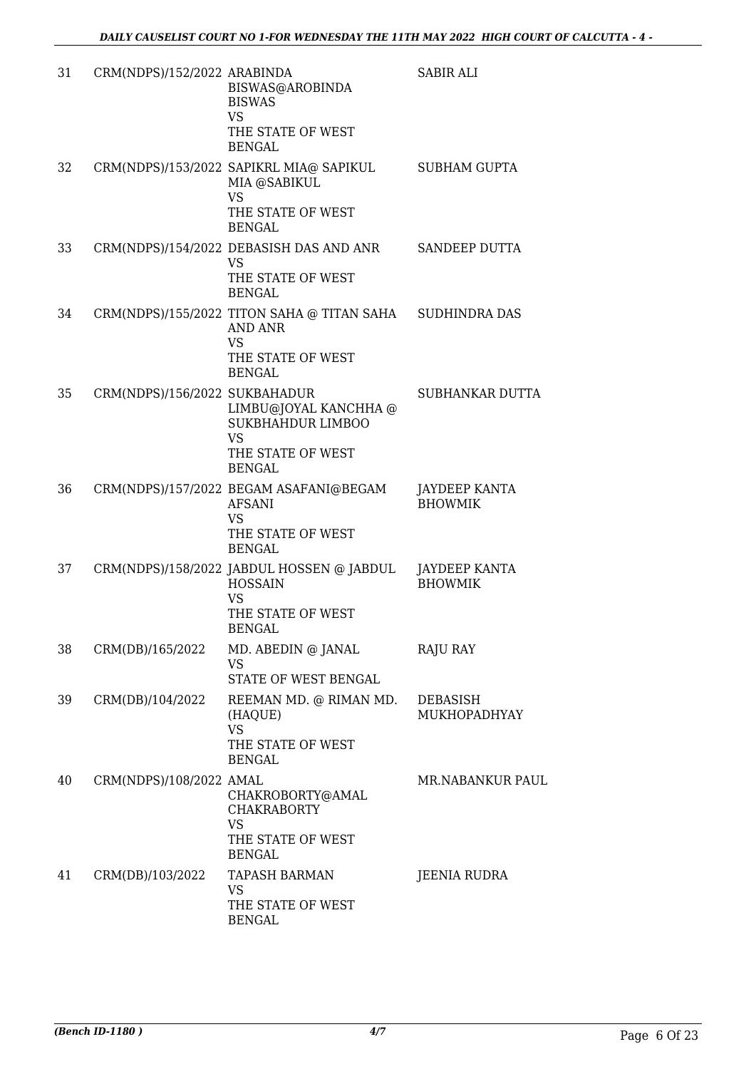| 31 | CRM(NDPS)/152/2022 ARABINDA   | BISWAS@AROBINDA<br><b>BISWAS</b><br><b>VS</b><br>THE STATE OF WEST<br><b>BENGAL</b>                                           | <b>SABIR ALI</b>                       |
|----|-------------------------------|-------------------------------------------------------------------------------------------------------------------------------|----------------------------------------|
| 32 |                               | CRM(NDPS)/153/2022 SAPIKRL MIA@ SAPIKUL<br>MIA @SABIKUL<br><b>VS</b><br>THE STATE OF WEST<br><b>BENGAL</b>                    | <b>SUBHAM GUPTA</b>                    |
| 33 |                               | CRM(NDPS)/154/2022 DEBASISH DAS AND ANR<br><b>VS</b><br>THE STATE OF WEST<br><b>BENGAL</b>                                    | SANDEEP DUTTA                          |
| 34 |                               | CRM(NDPS)/155/2022 TITON SAHA @ TITAN SAHA SUDHINDRA DAS<br><b>AND ANR</b><br><b>VS</b><br>THE STATE OF WEST<br><b>BENGAL</b> |                                        |
| 35 | CRM(NDPS)/156/2022 SUKBAHADUR | LIMBU@JOYAL KANCHHA @<br><b>SUKBHAHDUR LIMBOO</b><br><b>VS</b><br>THE STATE OF WEST<br><b>BENGAL</b>                          | SUBHANKAR DUTTA                        |
| 36 |                               | CRM(NDPS)/157/2022 BEGAM ASAFANI@BEGAM<br><b>AFSANI</b><br><b>VS</b><br>THE STATE OF WEST<br><b>BENGAL</b>                    | JAYDEEP KANTA<br><b>BHOWMIK</b>        |
| 37 |                               | CRM(NDPS)/158/2022 JABDUL HOSSEN @ JABDUL<br><b>HOSSAIN</b><br><b>VS</b><br>THE STATE OF WEST<br>BENGAL                       | <b>JAYDEEP KANTA</b><br><b>BHOWMIK</b> |
| 38 | CRM(DB)/165/2022              | MD. ABEDIN @ JANAL<br>VS<br>STATE OF WEST BENGAL                                                                              | RAJU RAY                               |
| 39 | CRM(DB)/104/2022              | REEMAN MD. @ RIMAN MD.<br>(HAQUE)<br><b>VS</b><br>THE STATE OF WEST<br><b>BENGAL</b>                                          | <b>DEBASISH</b><br>MUKHOPADHYAY        |
| 40 | CRM(NDPS)/108/2022 AMAL       | CHAKROBORTY@AMAL<br><b>CHAKRABORTY</b><br><b>VS</b><br>THE STATE OF WEST<br><b>BENGAL</b>                                     | <b>MR.NABANKUR PAUL</b>                |
| 41 | CRM(DB)/103/2022              | <b>TAPASH BARMAN</b><br>VS<br>THE STATE OF WEST<br><b>BENGAL</b>                                                              | JEENIA RUDRA                           |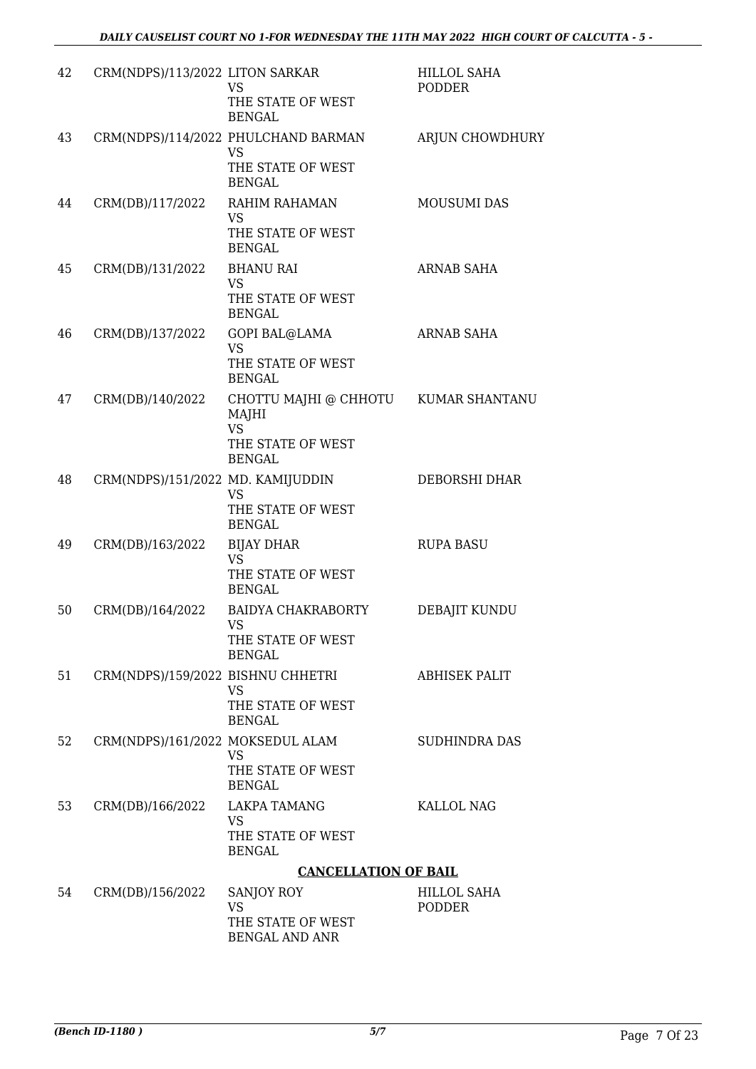| 42 | CRM(NDPS)/113/2022 LITON SARKAR   | VS<br>THE STATE OF WEST<br><b>BENGAL</b>                                               | <b>HILLOL SAHA</b><br>PODDER |
|----|-----------------------------------|----------------------------------------------------------------------------------------|------------------------------|
| 43 |                                   | CRM(NDPS)/114/2022 PHULCHAND BARMAN<br><b>VS</b><br>THE STATE OF WEST<br><b>BENGAL</b> | ARJUN CHOWDHURY              |
| 44 | CRM(DB)/117/2022                  | RAHIM RAHAMAN<br><b>VS</b><br>THE STATE OF WEST<br><b>BENGAL</b>                       | <b>MOUSUMI DAS</b>           |
| 45 | CRM(DB)/131/2022                  | <b>BHANU RAI</b><br><b>VS</b><br>THE STATE OF WEST<br><b>BENGAL</b>                    | ARNAB SAHA                   |
| 46 | CRM(DB)/137/2022                  | <b>GOPI BAL@LAMA</b><br><b>VS</b><br>THE STATE OF WEST<br><b>BENGAL</b>                | ARNAB SAHA                   |
| 47 | CRM(DB)/140/2022                  | CHOTTU MAJHI @ CHHOTU<br>MAJHI<br><b>VS</b><br>THE STATE OF WEST<br><b>BENGAL</b>      | <b>KUMAR SHANTANU</b>        |
| 48 | CRM(NDPS)/151/2022 MD. KAMIJUDDIN | <b>VS</b><br>THE STATE OF WEST<br><b>BENGAL</b>                                        | DEBORSHI DHAR                |
| 49 | CRM(DB)/163/2022                  | <b>BIJAY DHAR</b><br><b>VS</b><br>THE STATE OF WEST<br><b>BENGAL</b>                   | <b>RUPA BASU</b>             |
| 50 | CRM(DB)/164/2022                  | <b>BAIDYA CHAKRABORTY</b><br>VS.<br>THE STATE OF WEST<br><b>BENGAL</b>                 | DEBAJIT KUNDU                |
| 51 | CRM(NDPS)/159/2022 BISHNU CHHETRI | VS<br>THE STATE OF WEST<br><b>BENGAL</b>                                               | <b>ABHISEK PALIT</b>         |
| 52 | CRM(NDPS)/161/2022 MOKSEDUL ALAM  | VS<br>THE STATE OF WEST<br><b>BENGAL</b>                                               | <b>SUDHINDRA DAS</b>         |
| 53 | CRM(DB)/166/2022                  | <b>LAKPA TAMANG</b><br>VS.<br>THE STATE OF WEST<br><b>BENGAL</b>                       | KALLOL NAG                   |
|    |                                   | <b>CANCELLATION OF BAIL</b>                                                            |                              |
| 54 | CRM(DB)/156/2022                  | SANJOY ROY<br><b>VS</b><br>THE STATE OF WEST<br><b>BENGAL AND ANR</b>                  | HILLOL SAHA<br>PODDER        |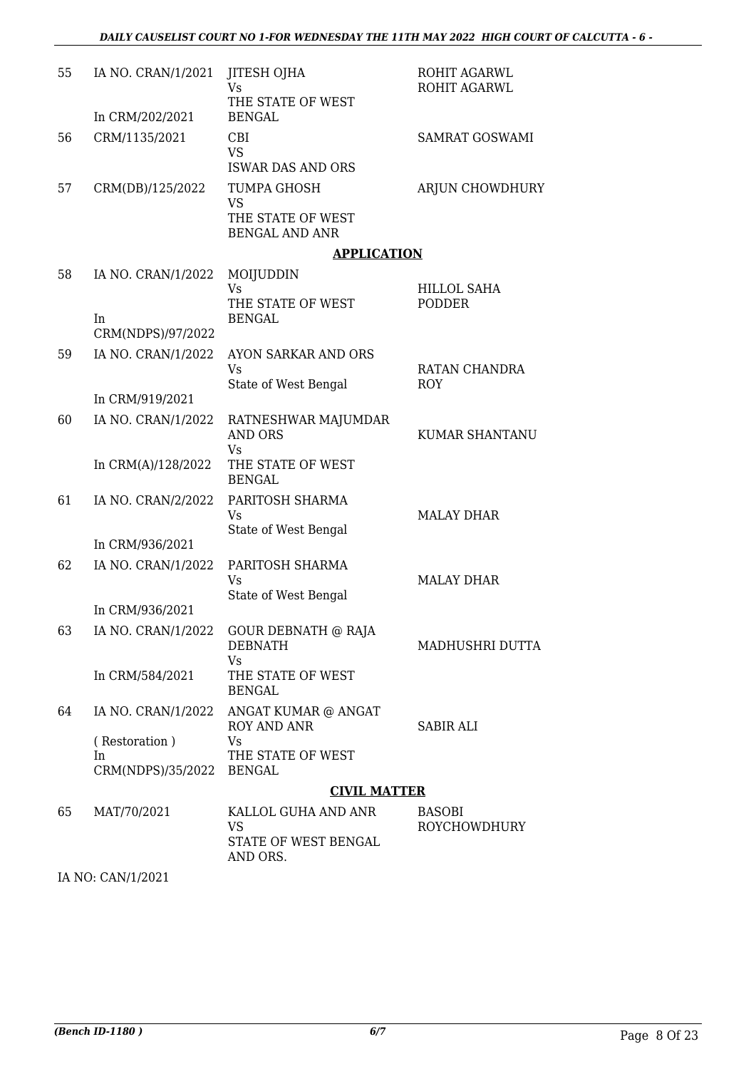| 55 | IA NO. CRAN/1/2021      | JITESH OJHA<br>Vs<br>THE STATE OF WEST             | ROHIT AGARWL<br>ROHIT AGARWL |
|----|-------------------------|----------------------------------------------------|------------------------------|
|    | In CRM/202/2021         | <b>BENGAL</b>                                      |                              |
| 56 | CRM/1135/2021           | CBI<br>VS.<br><b>ISWAR DAS AND ORS</b>             | SAMRAT GOSWAMI               |
| 57 | CRM(DB)/125/2022        | TUMPA GHOSH<br><b>VS</b>                           | ARJUN CHOWDHURY              |
|    |                         | THE STATE OF WEST<br><b>BENGAL AND ANR</b>         |                              |
|    |                         | <b>APPLICATION</b>                                 |                              |
| 58 | IA NO. CRAN/1/2022      | MOIJUDDIN                                          |                              |
|    |                         | <b>Vs</b><br>THE STATE OF WEST                     | <b>HILLOL SAHA</b><br>PODDER |
|    | In<br>CRM(NDPS)/97/2022 | <b>BENGAL</b>                                      |                              |
| 59 | IA NO. CRAN/1/2022      | AYON SARKAR AND ORS                                |                              |
|    |                         | Vs<br>State of West Bengal                         | RATAN CHANDRA<br><b>ROY</b>  |
|    | In CRM/919/2021         |                                                    |                              |
| 60 | IA NO. CRAN/1/2022      | RATNESHWAR MAJUMDAR<br><b>AND ORS</b>              | KUMAR SHANTANU               |
|    | In CRM(A)/128/2022      | Vs<br>THE STATE OF WEST<br><b>BENGAL</b>           |                              |
| 61 | IA NO. CRAN/2/2022      | PARITOSH SHARMA<br>Vs                              | <b>MALAY DHAR</b>            |
|    | In CRM/936/2021         | State of West Bengal                               |                              |
| 62 | IA NO. CRAN/1/2022      | PARITOSH SHARMA<br>Vs                              | <b>MALAY DHAR</b>            |
|    |                         | State of West Bengal                               |                              |
|    | In CRM/936/2021         |                                                    |                              |
| 63 | IA NO. CRAN/1/2022      | <b>GOUR DEBNATH @ RAJA</b><br><b>DEBNATH</b><br>Vs | MADHUSHRI DUTTA              |
|    | In CRM/584/2021         | THE STATE OF WEST<br><b>BENGAL</b>                 |                              |
| 64 | IA NO. CRAN/1/2022      | ANGAT KUMAR @ ANGAT<br>ROY AND ANR                 | <b>SABIR ALI</b>             |
|    | (Restoration)<br>In     | Vs<br>THE STATE OF WEST                            |                              |
|    | CRM(NDPS)/35/2022       | <b>BENGAL</b>                                      |                              |
|    |                         | <b>CIVIL MATTER</b>                                |                              |
| 65 | MAT/70/2021             | KALLOL GUHA AND ANR                                | BASOBI                       |
|    |                         | VS<br>STATE OF WEST BENGAL<br>AND ORS.             | <b>ROYCHOWDHURY</b>          |

IA NO: CAN/1/2021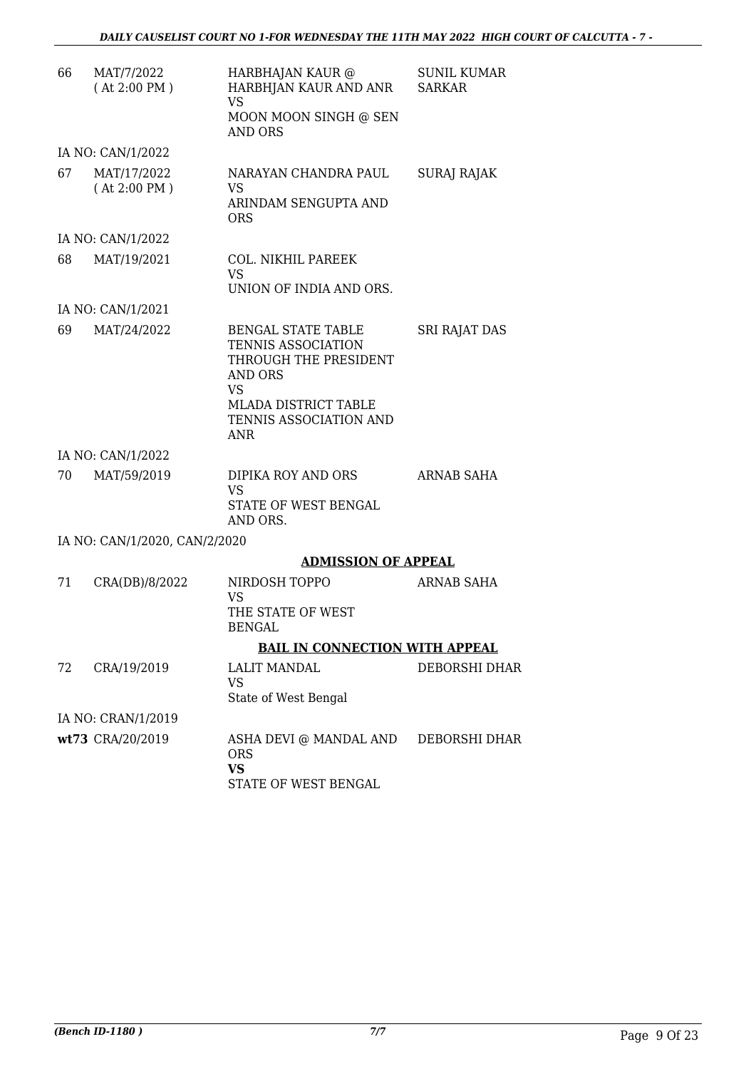| 66 | MAT/7/2022<br>(At 2:00 PM)    | HARBHAJAN KAUR @<br>HARBHJAN KAUR AND ANR<br>VS<br>MOON MOON SINGH @ SEN<br><b>AND ORS</b>              | SUNIL KUMAR<br><b>SARKAR</b> |
|----|-------------------------------|---------------------------------------------------------------------------------------------------------|------------------------------|
|    | IA NO: CAN/1/2022             |                                                                                                         |                              |
| 67 | MAT/17/2022<br>(At 2:00 PM)   | NARAYAN CHANDRA PAUL<br>VS<br>ARINDAM SENGUPTA AND<br><b>ORS</b>                                        | SURAJ RAJAK                  |
|    | IA NO: CAN/1/2022             |                                                                                                         |                              |
| 68 | MAT/19/2021                   | COL. NIKHIL PAREEK<br><b>VS</b><br>UNION OF INDIA AND ORS.                                              |                              |
|    | IA NO: CAN/1/2021             |                                                                                                         |                              |
| 69 | MAT/24/2022                   | <b>BENGAL STATE TABLE</b><br>TENNIS ASSOCIATION<br>THROUGH THE PRESIDENT<br><b>AND ORS</b><br><b>VS</b> | <b>SRI RAJAT DAS</b>         |
|    |                               | MLADA DISTRICT TABLE<br>TENNIS ASSOCIATION AND<br><b>ANR</b>                                            |                              |
|    | IA NO: CAN/1/2022             |                                                                                                         |                              |
| 70 | MAT/59/2019                   | DIPIKA ROY AND ORS<br><b>VS</b><br>STATE OF WEST BENGAL<br>AND ORS.                                     | ARNAB SAHA                   |
|    | IA NO: CAN/1/2020, CAN/2/2020 |                                                                                                         |                              |
|    |                               | <b>ADMISSION OF APPEAL</b>                                                                              |                              |
| 71 | CRA(DB)/8/2022                | NIRDOSH TOPPO<br>VS<br>THE STATE OF WEST<br>BENGAL                                                      | <b>ARNAB SAHA</b>            |
|    |                               | <b>BAIL IN CONNECTION WITH APPEAL</b>                                                                   |                              |
| 72 | CRA/19/2019                   | <b>LALIT MANDAL</b><br><b>VS</b><br>State of West Bengal                                                | DEBORSHI DHAR                |
|    | IA NO: CRAN/1/2019            |                                                                                                         |                              |
|    | wt73 CRA/20/2019              | ASHA DEVI @ MANDAL AND<br><b>ORS</b><br><b>VS</b><br>STATE OF WEST BENGAL                               | DEBORSHI DHAR                |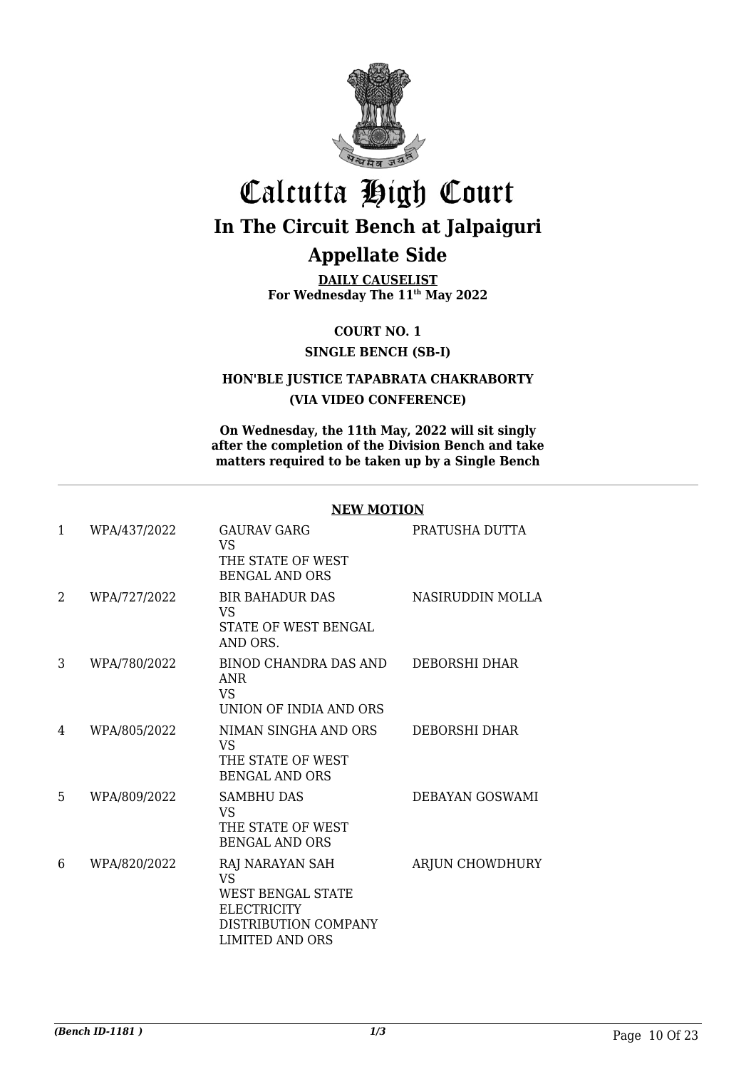

## Calcutta High Court **In The Circuit Bench at Jalpaiguri Appellate Side**

**DAILY CAUSELIST For Wednesday The 11th May 2022**

**COURT NO. 1**

#### **SINGLE BENCH (SB-I)**

#### **HON'BLE JUSTICE TAPABRATA CHAKRABORTY (VIA VIDEO CONFERENCE)**

**On Wednesday, the 11th May, 2022 will sit singly after the completion of the Division Bench and take matters required to be taken up by a Single Bench**

#### **NEW MOTION**

| $\mathbf{1}$ | WPA/437/2022 | <b>GAURAV GARG</b><br><b>VS</b><br>THE STATE OF WEST<br><b>BENGAL AND ORS</b>                                             | PRATUSHA DUTTA       |
|--------------|--------------|---------------------------------------------------------------------------------------------------------------------------|----------------------|
| 2            | WPA/727/2022 | <b>BIR BAHADUR DAS</b><br><b>VS</b><br>STATE OF WEST BENGAL<br>AND ORS.                                                   | NASIRUDDIN MOLLA     |
| 3            | WPA/780/2022 | BINOD CHANDRA DAS AND<br><b>ANR</b><br><b>VS</b><br>UNION OF INDIA AND ORS                                                | DEBORSHI DHAR        |
| 4            | WPA/805/2022 | NIMAN SINGHA AND ORS<br><b>VS</b><br>THE STATE OF WEST<br><b>BENGAL AND ORS</b>                                           | <b>DEBORSHI DHAR</b> |
| 5            | WPA/809/2022 | <b>SAMBHU DAS</b><br><b>VS</b><br>THE STATE OF WEST<br><b>BENGAL AND ORS</b>                                              | DEBAYAN GOSWAMI      |
| 6            | WPA/820/2022 | RAJ NARAYAN SAH<br><b>VS</b><br><b>WEST BENGAL STATE</b><br><b>ELECTRICITY</b><br>DISTRIBUTION COMPANY<br>LIMITED AND ORS | ARJUN CHOWDHURY      |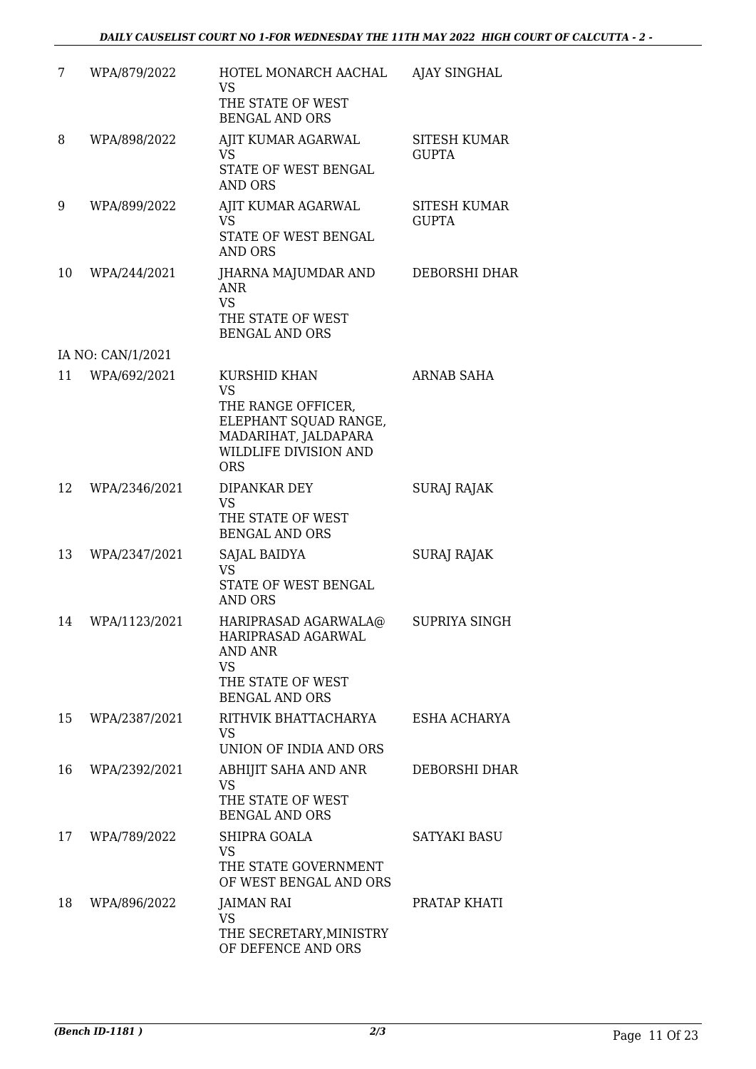| 7  | WPA/879/2022      | HOTEL MONARCH AACHAL<br>VS<br>THE STATE OF WEST<br><b>BENGAL AND ORS</b>                                                                       | <b>AJAY SINGHAL</b>                 |
|----|-------------------|------------------------------------------------------------------------------------------------------------------------------------------------|-------------------------------------|
| 8  | WPA/898/2022      | AJIT KUMAR AGARWAL<br><b>VS</b><br>STATE OF WEST BENGAL<br><b>AND ORS</b>                                                                      | <b>SITESH KUMAR</b><br><b>GUPTA</b> |
| 9  | WPA/899/2022      | AJIT KUMAR AGARWAL<br><b>VS</b><br>STATE OF WEST BENGAL<br><b>AND ORS</b>                                                                      | <b>SITESH KUMAR</b><br><b>GUPTA</b> |
| 10 | WPA/244/2021      | JHARNA MAJUMDAR AND<br><b>ANR</b><br><b>VS</b><br>THE STATE OF WEST<br><b>BENGAL AND ORS</b>                                                   | DEBORSHI DHAR                       |
|    | IA NO: CAN/1/2021 |                                                                                                                                                |                                     |
| 11 | WPA/692/2021      | <b>KURSHID KHAN</b><br><b>VS</b><br>THE RANGE OFFICER,<br>ELEPHANT SQUAD RANGE,<br>MADARIHAT, JALDAPARA<br>WILDLIFE DIVISION AND<br><b>ORS</b> | ARNAB SAHA                          |
| 12 | WPA/2346/2021     | DIPANKAR DEY<br><b>VS</b><br>THE STATE OF WEST<br><b>BENGAL AND ORS</b>                                                                        | <b>SURAJ RAJAK</b>                  |
| 13 | WPA/2347/2021     | SAJAL BAIDYA<br><b>VS</b><br>STATE OF WEST BENGAL<br><b>AND ORS</b>                                                                            | <b>SURAJ RAJAK</b>                  |
| 14 | WPA/1123/2021     | HARIPRASAD AGARWALA@<br>HARIPRASAD AGARWAL<br>AND ANR<br>VS.<br>THE STATE OF WEST<br><b>BENGAL AND ORS</b>                                     | SUPRIYA SINGH                       |
| 15 | WPA/2387/2021     | RITHVIK BHATTACHARYA<br>VS.<br>UNION OF INDIA AND ORS                                                                                          | ESHA ACHARYA                        |
| 16 | WPA/2392/2021     | ABHIJIT SAHA AND ANR<br><b>VS</b><br>THE STATE OF WEST<br><b>BENGAL AND ORS</b>                                                                | DEBORSHI DHAR                       |
| 17 | WPA/789/2022      | SHIPRA GOALA<br><b>VS</b><br>THE STATE GOVERNMENT<br>OF WEST BENGAL AND ORS                                                                    | SATYAKI BASU                        |
| 18 | WPA/896/2022      | JAIMAN RAI<br>VS<br>THE SECRETARY, MINISTRY<br>OF DEFENCE AND ORS                                                                              | PRATAP KHATI                        |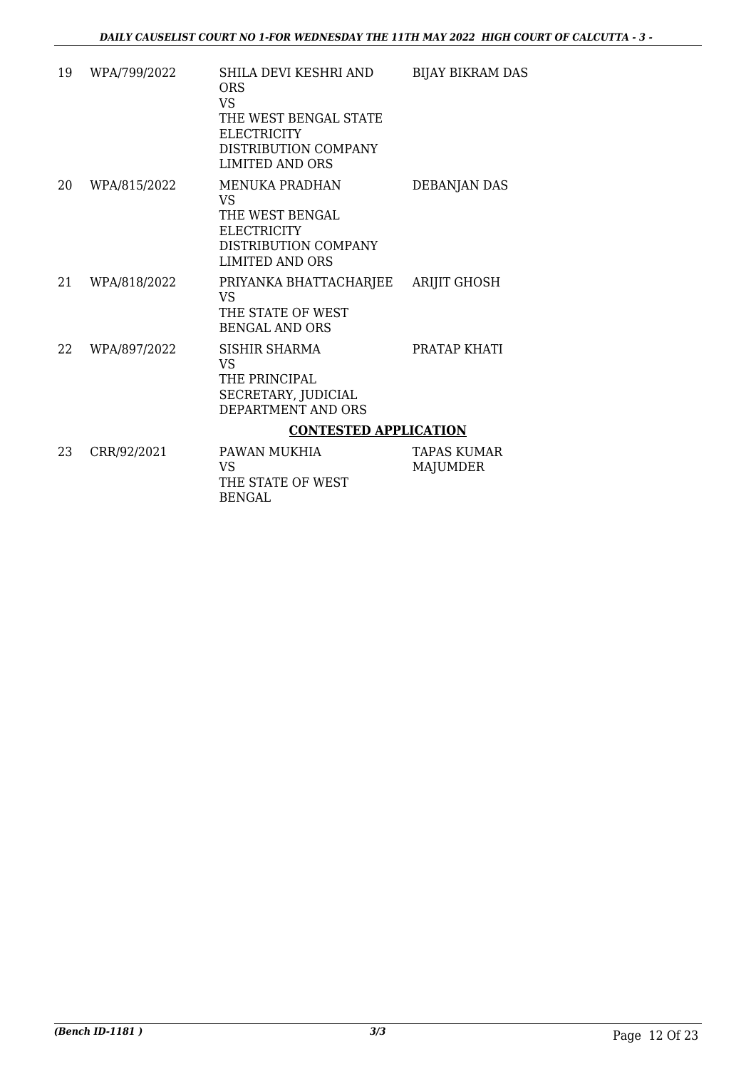| 19 | WPA/799/2022 | SHILA DEVI KESHRI AND<br><b>ORS</b><br>VS.                                                                       | <b>BIJAY BIKRAM DAS</b>        |
|----|--------------|------------------------------------------------------------------------------------------------------------------|--------------------------------|
|    |              | THE WEST BENGAL STATE<br><b>ELECTRICITY</b><br>DISTRIBUTION COMPANY<br><b>LIMITED AND ORS</b>                    |                                |
| 20 | WPA/815/2022 | MENUKA PRADHAN<br>VS.<br>THE WEST BENGAL<br><b>ELECTRICITY</b><br>DISTRIBUTION COMPANY<br><b>LIMITED AND ORS</b> | DEBANJAN DAS                   |
| 21 | WPA/818/2022 | PRIYANKA BHATTACHARJEE<br>VS.<br>THE STATE OF WEST<br><b>BENGAL AND ORS</b>                                      | <b>ARIJIT GHOSH</b>            |
| 22 | WPA/897/2022 | <b>SISHIR SHARMA</b><br><b>VS</b><br>THE PRINCIPAL<br>SECRETARY, JUDICIAL<br>DEPARTMENT AND ORS                  | PRATAP KHATI                   |
|    |              | <b>CONTESTED APPLICATION</b>                                                                                     |                                |
| 23 | CRR/92/2021  | PAWAN MUKHIA<br>VS.<br>THE STATE OF WEST<br><b>BENGAL</b>                                                        | TAPAS KUMAR<br><b>MAJUMDER</b> |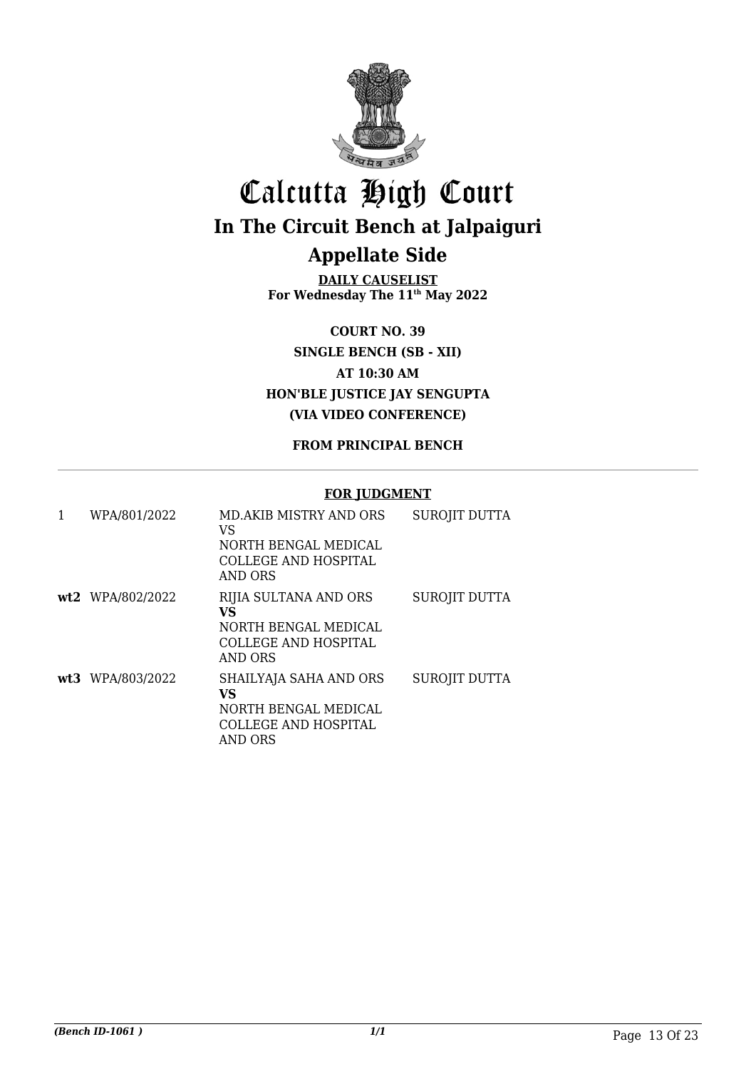

## Calcutta High Court **In The Circuit Bench at Jalpaiguri Appellate Side**

**DAILY CAUSELIST For Wednesday The 11th May 2022**

**COURT NO. 39 SINGLE BENCH (SB - XII) AT 10:30 AM HON'BLE JUSTICE JAY SENGUPTA (VIA VIDEO CONFERENCE)**

#### **FROM PRINCIPAL BENCH**

#### **FOR JUDGMENT**

| 1 | WPA/801/2022     | <b>MD.AKIB MISTRY AND ORS</b><br>VS<br>NORTH BENGAL MEDICAL<br>COLLEGE AND HOSPITAL<br>AND ORS | <b>SUROJIT DUTTA</b> |
|---|------------------|------------------------------------------------------------------------------------------------|----------------------|
|   | wt2 WPA/802/2022 | RIJIA SULTANA AND ORS<br>VS<br>NORTH BENGAL MEDICAL<br>COLLEGE AND HOSPITAL<br>AND ORS         | SUROJIT DUTTA        |
|   | wt3 WPA/803/2022 | SHAILYAJA SAHA AND ORS<br>VS<br>NORTH BENGAL MEDICAL<br>COLLEGE AND HOSPITAL<br>AND ORS        | <b>SUROJIT DUTTA</b> |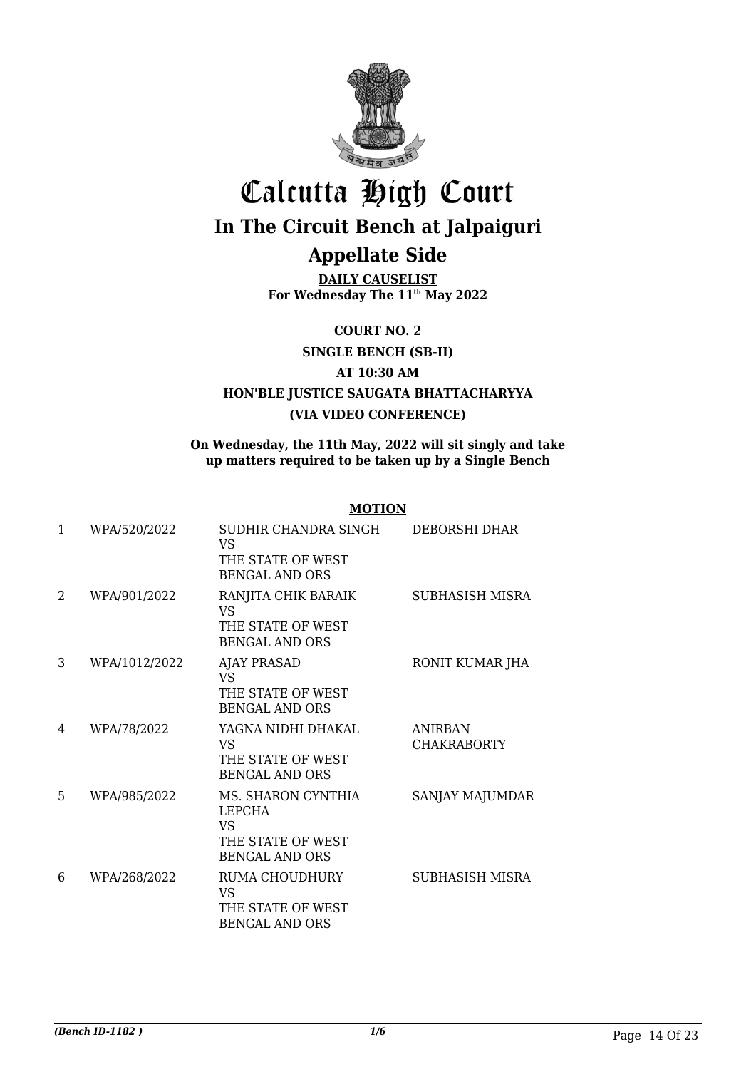

# Calcutta High Court **In The Circuit Bench at Jalpaiguri**

### **Appellate Side**

**DAILY CAUSELIST For Wednesday The 11th May 2022**

**COURT NO. 2**

**SINGLE BENCH (SB-II)**

**AT 10:30 AM**

**HON'BLE JUSTICE SAUGATA BHATTACHARYYA**

#### **(VIA VIDEO CONFERENCE)**

**On Wednesday, the 11th May, 2022 will sit singly and take up matters required to be taken up by a Single Bench**

#### **MOTION**

| $\mathbf{1}$ | WPA/520/2022  | SUDHIR CHANDRA SINGH<br>VS<br>THE STATE OF WEST<br><b>BENGAL AND ORS</b>          | DEBORSHI DHAR                        |
|--------------|---------------|-----------------------------------------------------------------------------------|--------------------------------------|
| 2            | WPA/901/2022  | RANJITA CHIK BARAIK<br>VS<br>THE STATE OF WEST<br><b>BENGAL AND ORS</b>           | SUBHASISH MISRA                      |
| 3            | WPA/1012/2022 | <b>AJAY PRASAD</b><br>VS<br>THE STATE OF WEST<br><b>BENGAL AND ORS</b>            | RONIT KUMAR JHA                      |
| 4            | WPA/78/2022   | YAGNA NIDHI DHAKAL<br><b>VS</b><br>THE STATE OF WEST<br><b>BENGAL AND ORS</b>     | <b>ANIRBAN</b><br><b>CHAKRABORTY</b> |
| 5            | WPA/985/2022  | MS. SHARON CYNTHIA<br>LEPCHA<br>VS.<br>THE STATE OF WEST<br><b>BENGAL AND ORS</b> | SANJAY MAJUMDAR                      |
| 6            | WPA/268/2022  | RUMA CHOUDHURY<br>VS<br>THE STATE OF WEST<br><b>BENGAL AND ORS</b>                | SUBHASISH MISRA                      |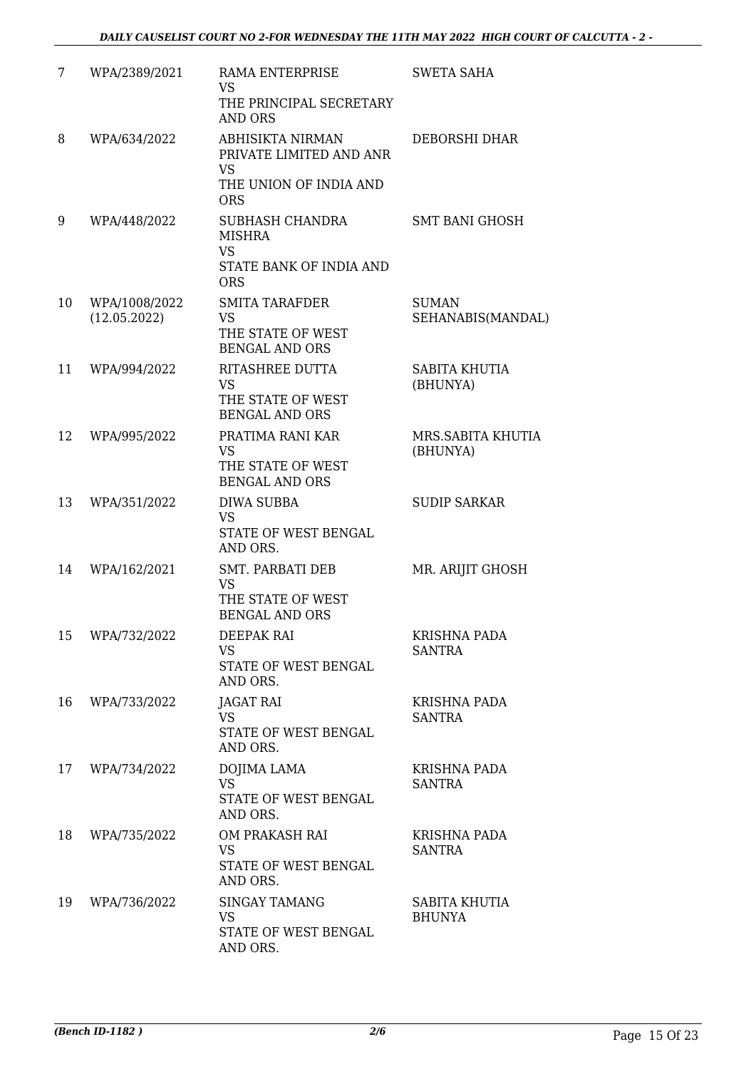| 7  | WPA/2389/2021                 | RAMA ENTERPRISE<br><b>VS</b><br>THE PRINCIPAL SECRETARY                                       | <b>SWETA SAHA</b>                    |
|----|-------------------------------|-----------------------------------------------------------------------------------------------|--------------------------------------|
| 8  | WPA/634/2022                  | <b>AND ORS</b><br>ABHISIKTA NIRMAN                                                            | DEBORSHI DHAR                        |
|    |                               | PRIVATE LIMITED AND ANR<br><b>VS</b><br>THE UNION OF INDIA AND<br><b>ORS</b>                  |                                      |
| 9  | WPA/448/2022                  | <b>SUBHASH CHANDRA</b><br><b>MISHRA</b><br><b>VS</b><br>STATE BANK OF INDIA AND<br><b>ORS</b> | SMT BANI GHOSH                       |
| 10 | WPA/1008/2022<br>(12.05.2022) | <b>SMITA TARAFDER</b><br>VS<br>THE STATE OF WEST<br><b>BENGAL AND ORS</b>                     | <b>SUMAN</b><br>SEHANABIS(MANDAL)    |
| 11 | WPA/994/2022                  | <b>RITASHREE DUTTA</b><br><b>VS</b><br>THE STATE OF WEST<br><b>BENGAL AND ORS</b>             | SABITA KHUTIA<br>(BHUNYA)            |
| 12 | WPA/995/2022                  | PRATIMA RANI KAR<br><b>VS</b><br>THE STATE OF WEST<br><b>BENGAL AND ORS</b>                   | MRS.SABITA KHUTIA<br>(BHUNYA)        |
| 13 | WPA/351/2022                  | <b>DIWA SUBBA</b><br><b>VS</b><br>STATE OF WEST BENGAL<br>AND ORS.                            | <b>SUDIP SARKAR</b>                  |
| 14 | WPA/162/2021                  | <b>SMT. PARBATI DEB</b><br><b>VS</b><br>THE STATE OF WEST<br><b>BENGAL AND ORS</b>            | MR. ARIJIT GHOSH                     |
| 15 | WPA/732/2022                  | DEEPAK RAI<br><b>VS</b><br><b>STATE OF WEST BENGAL</b><br>AND ORS.                            | KRISHNA PADA<br>SANTRA               |
| 16 | WPA/733/2022                  | JAGAT RAI<br><b>VS</b><br>STATE OF WEST BENGAL<br>AND ORS.                                    | KRISHNA PADA<br><b>SANTRA</b>        |
| 17 | WPA/734/2022                  | <b>DOJIMA LAMA</b><br><b>VS</b><br>STATE OF WEST BENGAL<br>AND ORS.                           | <b>KRISHNA PADA</b><br><b>SANTRA</b> |
| 18 | WPA/735/2022                  | OM PRAKASH RAI<br><b>VS</b><br>STATE OF WEST BENGAL<br>AND ORS.                               | KRISHNA PADA<br><b>SANTRA</b>        |
| 19 | WPA/736/2022                  | <b>SINGAY TAMANG</b><br><b>VS</b><br>STATE OF WEST BENGAL<br>AND ORS.                         | SABITA KHUTIA<br><b>BHUNYA</b>       |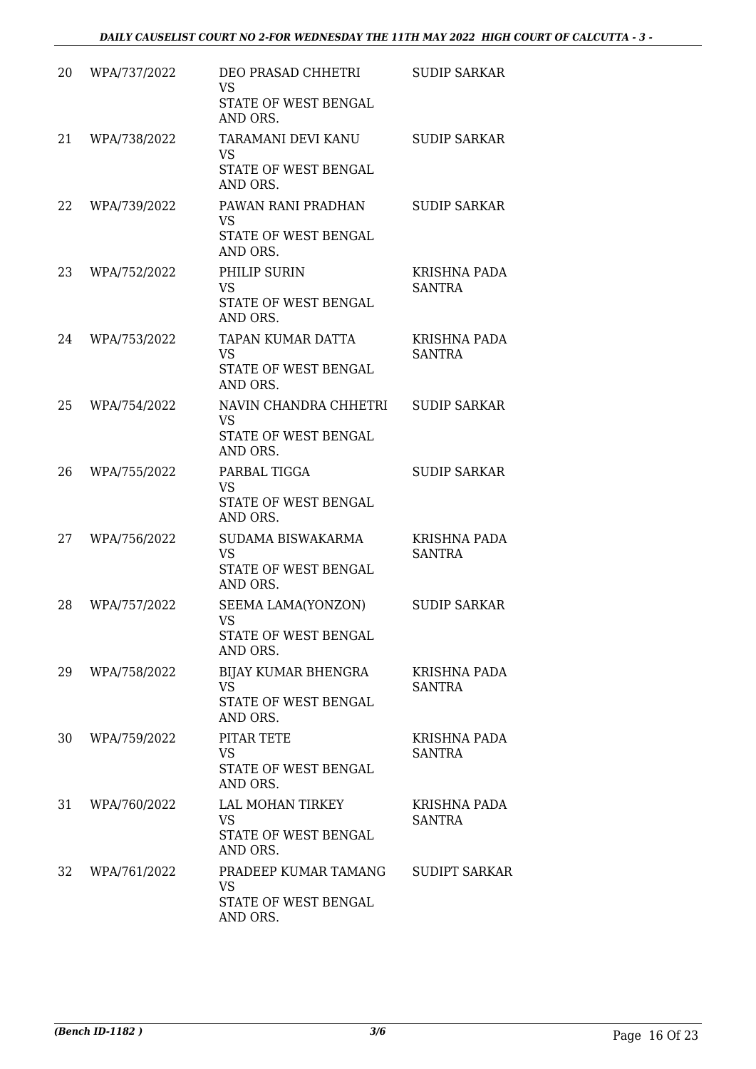| 20 | WPA/737/2022 | DEO PRASAD CHHETRI<br><b>VS</b><br>STATE OF WEST BENGAL<br>AND ORS.    | <b>SUDIP SARKAR</b>                  |
|----|--------------|------------------------------------------------------------------------|--------------------------------------|
| 21 | WPA/738/2022 | TARAMANI DEVI KANU<br><b>VS</b><br>STATE OF WEST BENGAL<br>AND ORS.    | <b>SUDIP SARKAR</b>                  |
| 22 | WPA/739/2022 | PAWAN RANI PRADHAN<br><b>VS</b><br>STATE OF WEST BENGAL<br>AND ORS.    | <b>SUDIP SARKAR</b>                  |
| 23 | WPA/752/2022 | PHILIP SURIN<br>VS<br>STATE OF WEST BENGAL<br>AND ORS.                 | <b>KRISHNA PADA</b><br><b>SANTRA</b> |
| 24 | WPA/753/2022 | TAPAN KUMAR DATTA<br><b>VS</b><br>STATE OF WEST BENGAL<br>AND ORS.     | <b>KRISHNA PADA</b><br><b>SANTRA</b> |
| 25 | WPA/754/2022 | NAVIN CHANDRA CHHETRI<br><b>VS</b><br>STATE OF WEST BENGAL<br>AND ORS. | <b>SUDIP SARKAR</b>                  |
| 26 | WPA/755/2022 | PARBAL TIGGA<br><b>VS</b><br>STATE OF WEST BENGAL<br>AND ORS.          | <b>SUDIP SARKAR</b>                  |
| 27 | WPA/756/2022 | SUDAMA BISWAKARMA<br><b>VS</b><br>STATE OF WEST BENGAL<br>AND ORS.     | <b>KRISHNA PADA</b><br><b>SANTRA</b> |
| 28 | WPA/757/2022 | SEEMA LAMA(YONZON)<br><b>VS</b><br>STATE OF WEST BENGAL<br>AND ORS.    | <b>SUDIP SARKAR</b>                  |
| 29 | WPA/758/2022 | BIJAY KUMAR BHENGRA<br><b>VS</b><br>STATE OF WEST BENGAL<br>AND ORS.   | KRISHNA PADA<br><b>SANTRA</b>        |
| 30 | WPA/759/2022 | PITAR TETE<br><b>VS</b><br>STATE OF WEST BENGAL<br>AND ORS.            | <b>KRISHNA PADA</b><br><b>SANTRA</b> |
| 31 | WPA/760/2022 | LAL MOHAN TIRKEY<br><b>VS</b><br>STATE OF WEST BENGAL<br>AND ORS.      | <b>KRISHNA PADA</b><br><b>SANTRA</b> |
| 32 | WPA/761/2022 | PRADEEP KUMAR TAMANG<br><b>VS</b><br>STATE OF WEST BENGAL<br>AND ORS.  | <b>SUDIPT SARKAR</b>                 |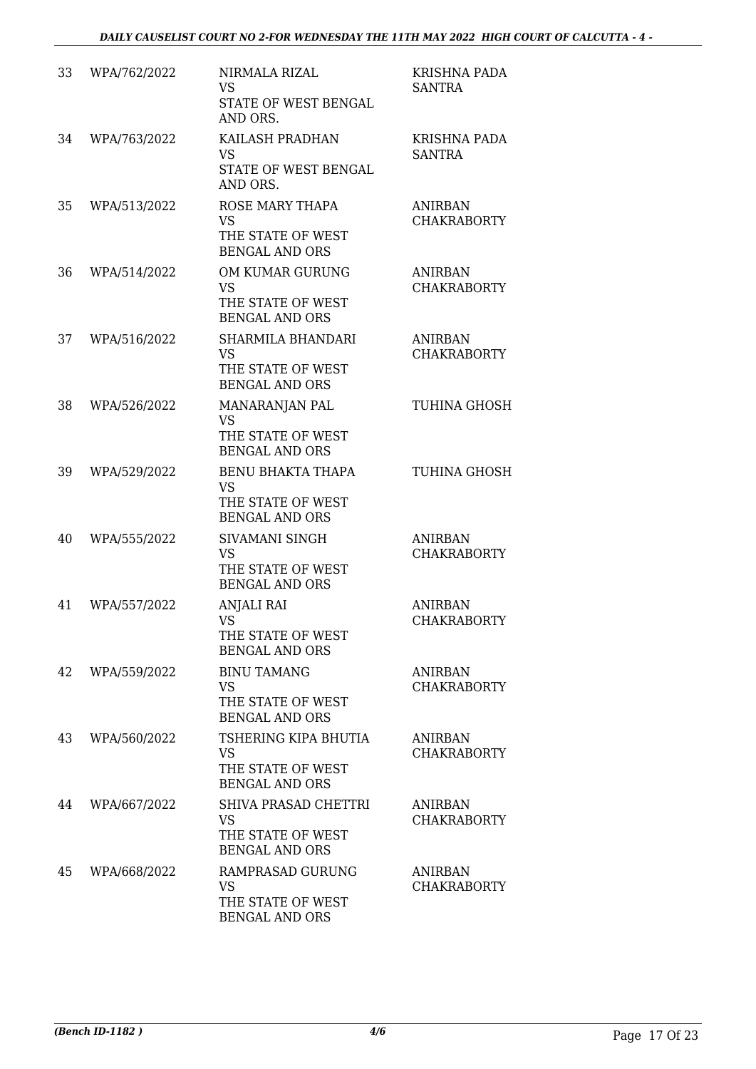| 33 | WPA/762/2022 | NIRMALA RIZAL<br><b>VS</b><br>STATE OF WEST BENGAL<br>AND ORS.                      | <b>KRISHNA PADA</b><br><b>SANTRA</b> |
|----|--------------|-------------------------------------------------------------------------------------|--------------------------------------|
| 34 | WPA/763/2022 | KAILASH PRADHAN<br>VS.<br>STATE OF WEST BENGAL<br>AND ORS.                          | <b>KRISHNA PADA</b><br><b>SANTRA</b> |
| 35 | WPA/513/2022 | ROSE MARY THAPA<br><b>VS</b><br>THE STATE OF WEST<br><b>BENGAL AND ORS</b>          | <b>ANIRBAN</b><br><b>CHAKRABORTY</b> |
| 36 | WPA/514/2022 | OM KUMAR GURUNG<br><b>VS</b><br>THE STATE OF WEST<br><b>BENGAL AND ORS</b>          | <b>ANIRBAN</b><br><b>CHAKRABORTY</b> |
| 37 | WPA/516/2022 | SHARMILA BHANDARI<br><b>VS</b><br>THE STATE OF WEST<br><b>BENGAL AND ORS</b>        | <b>ANIRBAN</b><br><b>CHAKRABORTY</b> |
| 38 | WPA/526/2022 | MANARANJAN PAL<br><b>VS</b><br>THE STATE OF WEST<br><b>BENGAL AND ORS</b>           | <b>TUHINA GHOSH</b>                  |
| 39 | WPA/529/2022 | <b>BENU BHAKTA THAPA</b><br><b>VS</b><br>THE STATE OF WEST<br><b>BENGAL AND ORS</b> | TUHINA GHOSH                         |
| 40 | WPA/555/2022 | SIVAMANI SINGH<br><b>VS</b><br>THE STATE OF WEST<br><b>BENGAL AND ORS</b>           | <b>ANIRBAN</b><br><b>CHAKRABORTY</b> |
| 41 | WPA/557/2022 | <b>ANJALI RAI</b><br><b>VS</b><br>THE STATE OF WEST<br><b>BENGAL AND ORS</b>        | <b>ANIRBAN</b><br><b>CHAKRABORTY</b> |
| 42 | WPA/559/2022 | <b>BINU TAMANG</b><br><b>VS</b><br>THE STATE OF WEST<br><b>BENGAL AND ORS</b>       | <b>ANIRBAN</b><br><b>CHAKRABORTY</b> |
| 43 | WPA/560/2022 | TSHERING KIPA BHUTIA<br><b>VS</b><br>THE STATE OF WEST<br><b>BENGAL AND ORS</b>     | <b>ANIRBAN</b><br><b>CHAKRABORTY</b> |
| 44 | WPA/667/2022 | SHIVA PRASAD CHETTRI<br><b>VS</b><br>THE STATE OF WEST<br><b>BENGAL AND ORS</b>     | <b>ANIRBAN</b><br><b>CHAKRABORTY</b> |
| 45 | WPA/668/2022 | RAMPRASAD GURUNG<br>VS<br>THE STATE OF WEST<br><b>BENGAL AND ORS</b>                | <b>ANIRBAN</b><br><b>CHAKRABORTY</b> |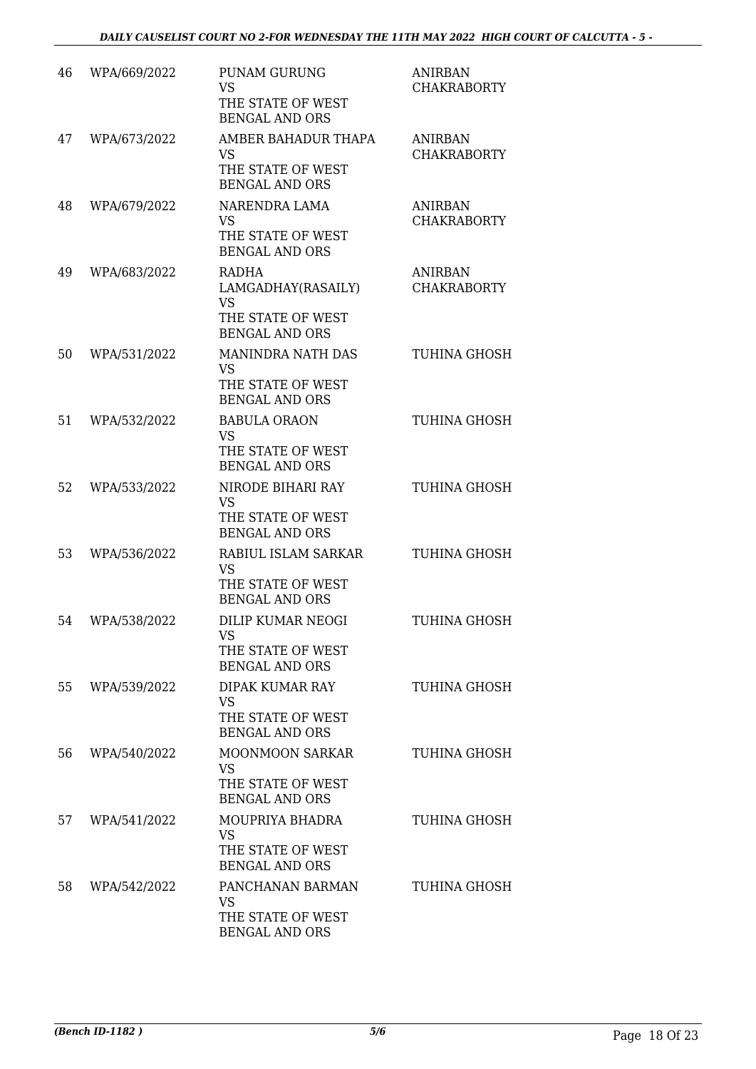| 46 | WPA/669/2022 | <b>PUNAM GURUNG</b><br>VS<br>THE STATE OF WEST<br><b>BENGAL AND ORS</b>                | <b>ANIRBAN</b><br><b>CHAKRABORTY</b> |
|----|--------------|----------------------------------------------------------------------------------------|--------------------------------------|
| 47 | WPA/673/2022 | AMBER BAHADUR THAPA<br>VS.<br>THE STATE OF WEST<br><b>BENGAL AND ORS</b>               | <b>ANIRBAN</b><br><b>CHAKRABORTY</b> |
| 48 | WPA/679/2022 | NARENDRA LAMA<br><b>VS</b><br>THE STATE OF WEST<br><b>BENGAL AND ORS</b>               | <b>ANIRBAN</b><br><b>CHAKRABORTY</b> |
| 49 | WPA/683/2022 | RADHA<br>LAMGADHAY(RASAILY)<br><b>VS</b><br>THE STATE OF WEST<br><b>BENGAL AND ORS</b> | <b>ANIRBAN</b><br><b>CHAKRABORTY</b> |
| 50 | WPA/531/2022 | <b>MANINDRA NATH DAS</b><br><b>VS</b><br>THE STATE OF WEST<br><b>BENGAL AND ORS</b>    | TUHINA GHOSH                         |
| 51 | WPA/532/2022 | <b>BABULA ORAON</b><br>VS<br>THE STATE OF WEST<br><b>BENGAL AND ORS</b>                | <b>TUHINA GHOSH</b>                  |
| 52 | WPA/533/2022 | NIRODE BIHARI RAY<br><b>VS</b><br>THE STATE OF WEST<br><b>BENGAL AND ORS</b>           | <b>TUHINA GHOSH</b>                  |
| 53 | WPA/536/2022 | RABIUL ISLAM SARKAR<br><b>VS</b><br>THE STATE OF WEST<br><b>BENGAL AND ORS</b>         | <b>TUHINA GHOSH</b>                  |
| 54 | WPA/538/2022 | DILIP KUMAR NEOGI<br>VS<br>THE STATE OF WEST<br><b>BENGAL AND ORS</b>                  | TUHINA GHOSH                         |
| 55 | WPA/539/2022 | DIPAK KUMAR RAY<br>VS<br>THE STATE OF WEST<br><b>BENGAL AND ORS</b>                    | TUHINA GHOSH                         |
| 56 | WPA/540/2022 | <b>MOONMOON SARKAR</b><br><b>VS</b><br>THE STATE OF WEST<br><b>BENGAL AND ORS</b>      | TUHINA GHOSH                         |
| 57 | WPA/541/2022 | MOUPRIYA BHADRA<br><b>VS</b><br>THE STATE OF WEST<br><b>BENGAL AND ORS</b>             | TUHINA GHOSH                         |
| 58 | WPA/542/2022 | PANCHANAN BARMAN<br>VS<br>THE STATE OF WEST<br><b>BENGAL AND ORS</b>                   | TUHINA GHOSH                         |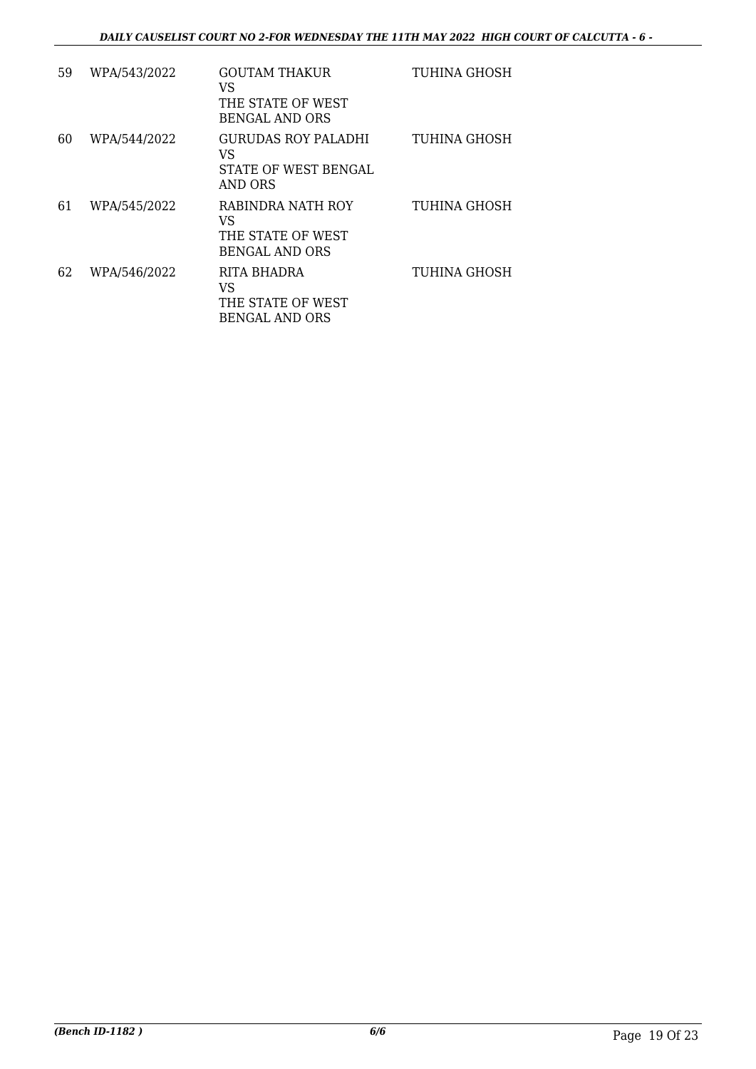| 59 | WPA/543/2022 | GOUTAM THAKUR<br>VS<br>THE STATE OF WEST<br><b>BENGAL AND ORS</b> | TUHINA GHOSH |
|----|--------------|-------------------------------------------------------------------|--------------|
| 60 | WPA/544/2022 | GURUDAS ROY PALADHI<br>VS<br>STATE OF WEST BENGAL<br>AND ORS      | TUHINA GHOSH |
| 61 | WPA/545/2022 | RABINDRA NATH ROY<br>VS<br>THE STATE OF WEST<br>BENGAL AND ORS    | TUHINA GHOSH |
| 62 | WPA/546/2022 | RITA BHADRA<br>VS<br>THE STATE OF WEST<br>BENGAL AND ORS          | TUHINA GHOSH |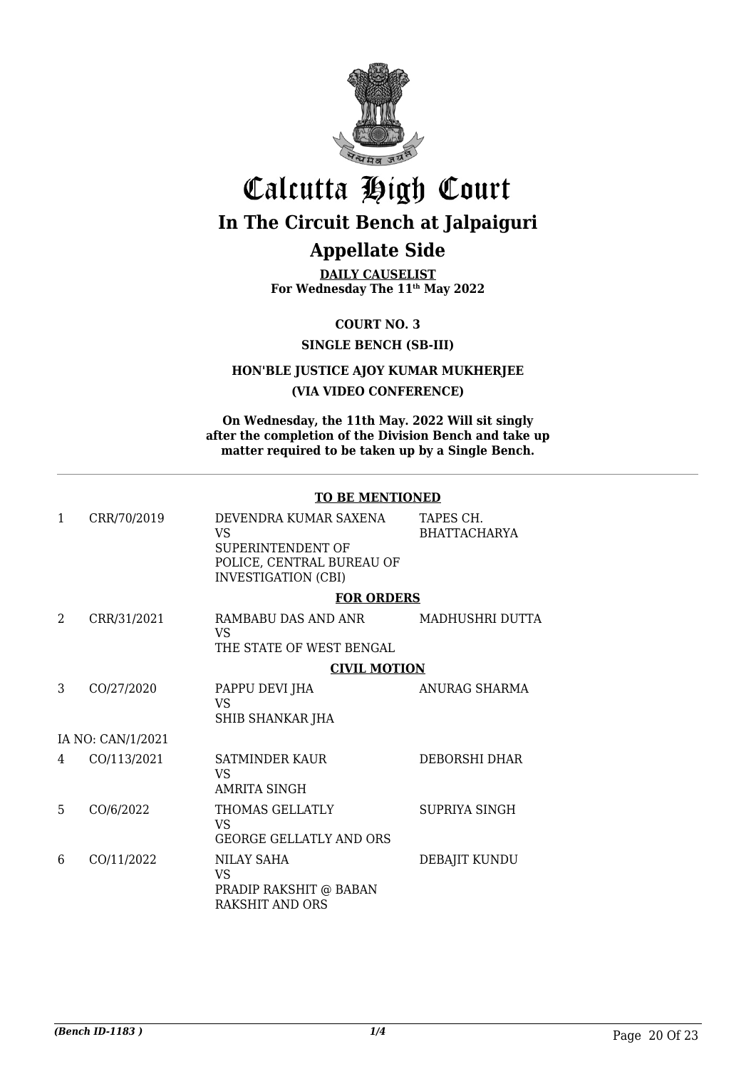

## Calcutta High Court **In The Circuit Bench at Jalpaiguri**

### **Appellate Side**

**DAILY CAUSELIST For Wednesday The 11th May 2022**

**COURT NO. 3**

**SINGLE BENCH (SB-III)**

**HON'BLE JUSTICE AJOY KUMAR MUKHERJEE**

#### **(VIA VIDEO CONFERENCE)**

**On Wednesday, the 11th May. 2022 Will sit singly after the completion of the Division Bench and take up matter required to be taken up by a Single Bench.**

#### **TO BE MENTIONED**

| 1              | CRR/70/2019       | DEVENDRA KUMAR SAXENA<br>VS<br>SUPERINTENDENT OF<br>POLICE, CENTRAL BUREAU OF<br><b>INVESTIGATION (CBI)</b> | TAPES CH.<br><b>BHATTACHARYA</b> |
|----------------|-------------------|-------------------------------------------------------------------------------------------------------------|----------------------------------|
|                |                   | <b>FOR ORDERS</b>                                                                                           |                                  |
| $\overline{2}$ | CRR/31/2021       | RAMBABU DAS AND ANR<br>VS.<br>THE STATE OF WEST BENGAL                                                      | MADHUSHRI DUTTA                  |
|                |                   | <b>CIVIL MOTION</b>                                                                                         |                                  |
| 3              | CO/27/2020        | PAPPU DEVI JHA<br>VS<br><b>SHIB SHANKAR JHA</b>                                                             | ANURAG SHARMA                    |
|                | IA NO: CAN/1/2021 |                                                                                                             |                                  |
| 4              | CO/113/2021       | <b>SATMINDER KAUR</b><br>VS<br><b>AMRITA SINGH</b>                                                          | DEBORSHI DHAR                    |
| 5              | CO/6/2022         | THOMAS GELLATLY<br>VS.<br><b>GEORGE GELLATLY AND ORS</b>                                                    | SUPRIYA SINGH                    |
| 6              | CO/11/2022        | NILAY SAHA<br>VS<br>PRADIP RAKSHIT @ BABAN<br>RAKSHIT AND ORS                                               | DEBAJIT KUNDU                    |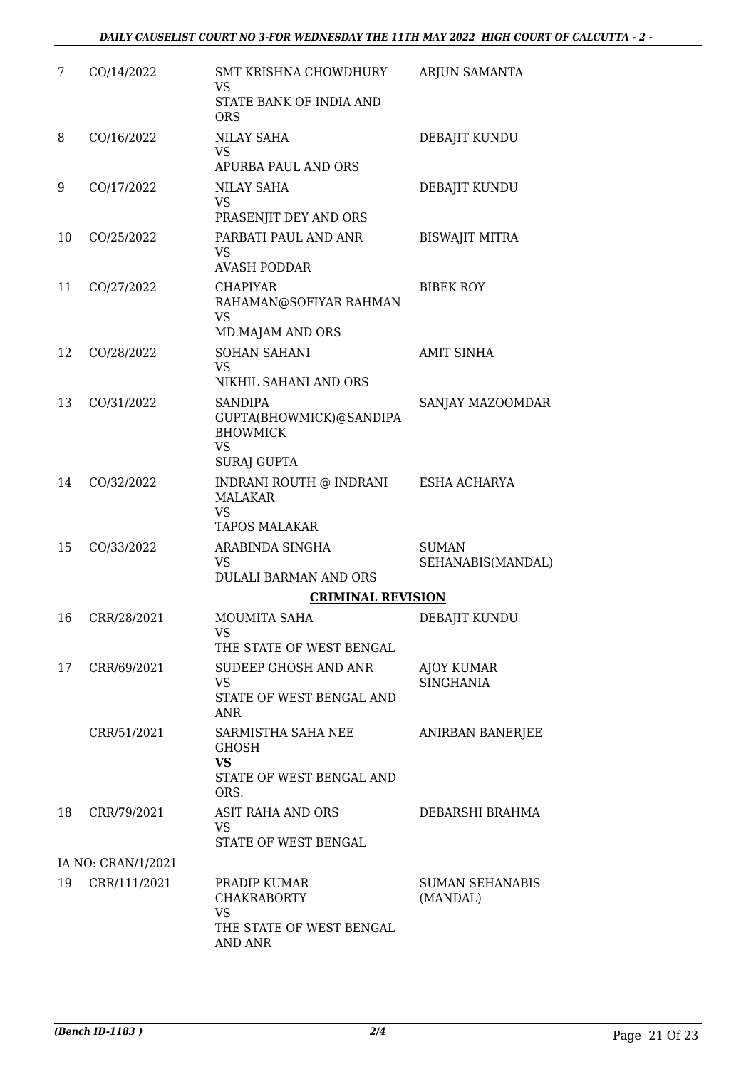| 7  | CO/14/2022         | SMT KRISHNA CHOWDHURY<br>VS                                                    | ARJUN SAMANTA                      |
|----|--------------------|--------------------------------------------------------------------------------|------------------------------------|
|    |                    | STATE BANK OF INDIA AND<br><b>ORS</b>                                          |                                    |
| 8  | CO/16/2022         | <b>NILAY SAHA</b><br>VS                                                        | DEBAJIT KUNDU                      |
|    |                    | APURBA PAUL AND ORS                                                            |                                    |
| 9  | CO/17/2022         | <b>NILAY SAHA</b><br><b>VS</b><br>PRASENJIT DEY AND ORS                        | DEBAJIT KUNDU                      |
| 10 | CO/25/2022         | PARBATI PAUL AND ANR<br><b>VS</b><br><b>AVASH PODDAR</b>                       | <b>BISWAJIT MITRA</b>              |
| 11 | CO/27/2022         | <b>CHAPIYAR</b><br>RAHAMAN@SOFIYAR RAHMAN<br><b>VS</b><br>MD.MAJAM AND ORS     | <b>BIBEK ROY</b>                   |
| 12 | CO/28/2022         | <b>SOHAN SAHANI</b><br>VS<br>NIKHIL SAHANI AND ORS                             | <b>AMIT SINHA</b>                  |
| 13 | CO/31/2022         | <b>SANDIPA</b><br>GUPTA(BHOWMICK)@SANDIPA<br><b>BHOWMICK</b><br><b>VS</b>      | SANJAY MAZOOMDAR                   |
|    |                    | <b>SURAJ GUPTA</b>                                                             |                                    |
| 14 | CO/32/2022         | INDRANI ROUTH @ INDRANI<br><b>MALAKAR</b><br><b>VS</b><br><b>TAPOS MALAKAR</b> | ESHA ACHARYA                       |
| 15 | CO/33/2022         | ARABINDA SINGHA<br><b>VS</b><br><b>DULALI BARMAN AND ORS</b>                   | <b>SUMAN</b><br>SEHANABIS(MANDAL)  |
|    |                    | <b>CRIMINAL REVISION</b>                                                       |                                    |
| 16 | CRR/28/2021        | <b>MOUMITA SAHA</b><br>VS FOR STRUMP.                                          | DEBAJIT KUNDU                      |
|    |                    | THE STATE OF WEST BENGAL                                                       |                                    |
| 17 | CRR/69/2021        | SUDEEP GHOSH AND ANR<br><b>VS</b><br>STATE OF WEST BENGAL AND<br>ANR           | AJOY KUMAR<br><b>SINGHANIA</b>     |
|    | CRR/51/2021        | SARMISTHA SAHA NEE<br><b>GHOSH</b>                                             | <b>ANIRBAN BANERJEE</b>            |
|    |                    | <b>VS</b><br>STATE OF WEST BENGAL AND<br>ORS.                                  |                                    |
| 18 | CRR/79/2021        | ASIT RAHA AND ORS<br>VS.<br>STATE OF WEST BENGAL                               | DEBARSHI BRAHMA                    |
|    | IA NO: CRAN/1/2021 |                                                                                |                                    |
| 19 | CRR/111/2021       | PRADIP KUMAR<br><b>CHAKRABORTY</b><br><b>VS</b>                                | <b>SUMAN SEHANABIS</b><br>(MANDAL) |
|    |                    | THE STATE OF WEST BENGAL<br>AND ANR                                            |                                    |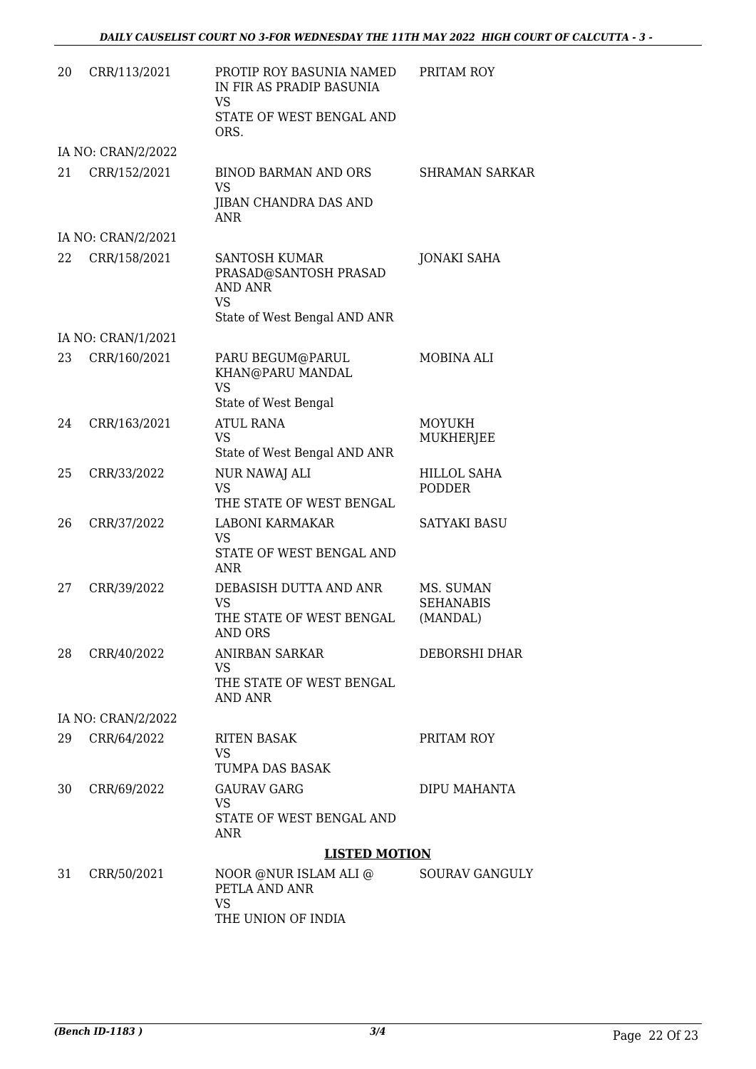| 20 | CRR/113/2021       | PROTIP ROY BASUNIA NAMED<br>IN FIR AS PRADIP BASUNIA<br>VS<br>STATE OF WEST BENGAL AND<br>ORS.        | PRITAM ROY                                |
|----|--------------------|-------------------------------------------------------------------------------------------------------|-------------------------------------------|
|    | IA NO: CRAN/2/2022 |                                                                                                       |                                           |
| 21 | CRR/152/2021       | <b>BINOD BARMAN AND ORS</b><br><b>VS</b><br>JIBAN CHANDRA DAS AND<br><b>ANR</b>                       | <b>SHRAMAN SARKAR</b>                     |
|    | IA NO: CRAN/2/2021 |                                                                                                       |                                           |
| 22 | CRR/158/2021       | <b>SANTOSH KUMAR</b><br>PRASAD@SANTOSH PRASAD<br>AND ANR<br><b>VS</b><br>State of West Bengal AND ANR | <b>JONAKI SAHA</b>                        |
|    | IA NO: CRAN/1/2021 |                                                                                                       |                                           |
| 23 | CRR/160/2021       | PARU BEGUM@PARUL<br>KHAN@PARU MANDAL<br><b>VS</b><br>State of West Bengal                             | MOBINA ALI                                |
| 24 | CRR/163/2021       | <b>ATUL RANA</b>                                                                                      | MOYUKH                                    |
|    |                    | VS<br>State of West Bengal AND ANR                                                                    | MUKHERJEE                                 |
| 25 | CRR/33/2022        | NUR NAWAJ ALI<br><b>VS</b><br>THE STATE OF WEST BENGAL                                                | <b>HILLOL SAHA</b><br>PODDER              |
| 26 | CRR/37/2022        | LABONI KARMAKAR<br><b>VS</b><br>STATE OF WEST BENGAL AND<br><b>ANR</b>                                | <b>SATYAKI BASU</b>                       |
| 27 | CRR/39/2022        | DEBASISH DUTTA AND ANR<br>VS<br>THE STATE OF WEST BENGAL<br>AND ORS                                   | MS. SUMAN<br><b>SEHANABIS</b><br>(MANDAL) |
| 28 | CRR/40/2022        | ANIRBAN SARKAR<br>VS<br>THE STATE OF WEST BENGAL<br>AND ANR                                           | <b>DEBORSHI DHAR</b>                      |
|    | IA NO: CRAN/2/2022 |                                                                                                       |                                           |
| 29 | CRR/64/2022        | RITEN BASAK<br>VS<br>TUMPA DAS BASAK                                                                  | PRITAM ROY                                |
| 30 | CRR/69/2022        | <b>GAURAV GARG</b><br>VS<br>STATE OF WEST BENGAL AND<br>ANR                                           | DIPU MAHANTA                              |
|    |                    | <b>LISTED MOTION</b>                                                                                  |                                           |
| 31 | CRR/50/2021        | NOOR @NUR ISLAM ALI @<br>PETLA AND ANR<br><b>VS</b><br>THE UNION OF INDIA                             | SOURAV GANGULY                            |